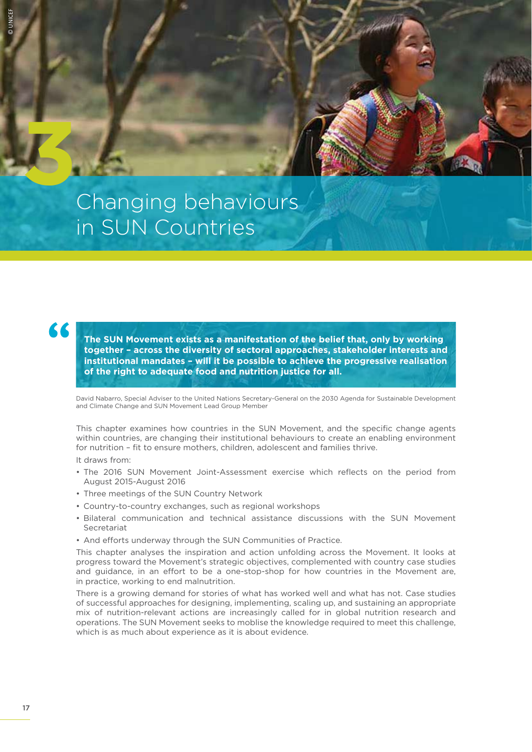# Changing behaviours in SUN Countries **3**

**The SUN Movement exists as a manifestation of the belief that, only by working together – across the diversity of sectoral approaches, stakeholder interests and institutional mandates – will it be possible to achieve the progressive realisation of the right to adequate food and nutrition justice for all.**

David Nabarro, Special Adviser to the United Nations Secretary-General on the 2030 Agenda for Sustainable Development and Climate Change and SUN Movement Lead Group Member

This chapter examines how countries in the SUN Movement, and the specific change agents within countries, are changing their institutional behaviours to create an enabling environment for nutrition – fit to ensure mothers, children, adolescent and families thrive.

It draws from:

- The 2016 SUN Movement Joint-Assessment exercise which reflects on the period from August 2015-August 2016
- Three meetings of the SUN Country Network
- Country-to-country exchanges, such as regional workshops
- Bilateral communication and technical assistance discussions with the SUN Movement Secretariat
- And efforts underway through the SUN Communities of Practice.

This chapter analyses the inspiration and action unfolding across the Movement. It looks at progress toward the Movement's strategic objectives, complemented with country case studies and guidance, in an effort to be a one-stop-shop for how countries in the Movement are, in practice, working to end malnutrition.

There is a growing demand for stories of what has worked well and what has not. Case studies of successful approaches for designing, implementing, scaling up, and sustaining an appropriate mix of nutrition-relevant actions are increasingly called for in global nutrition research and operations. The SUN Movement seeks to moblise the knowledge required to meet this challenge, which is as much about experience as it is about evidence.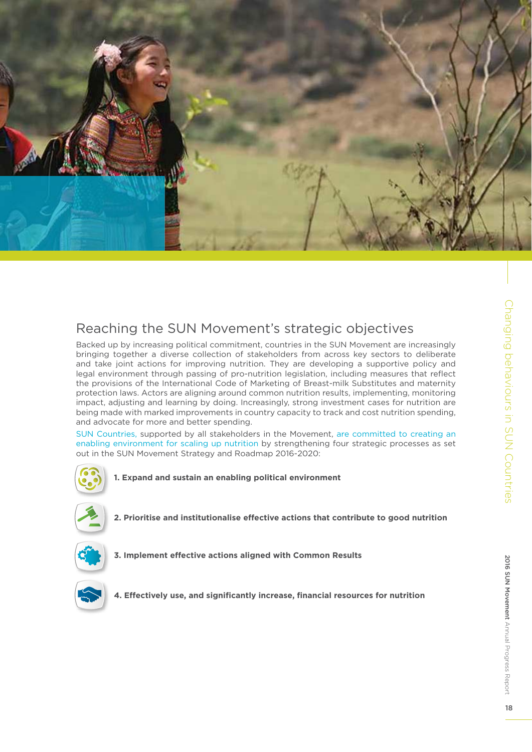

# Reaching the SUN Movement's strategic objectives

Backed up by increasing political commitment, countries in the SUN Movement are increasingly bringing together a diverse collection of stakeholders from across key sectors to deliberate and take joint actions for improving nutrition. They are developing a supportive policy and legal environment through passing of pro-nutrition legislation, including measures that reflect the provisions of the International Code of Marketing of Breast-milk Substitutes and maternity protection laws. Actors are aligning around common nutrition results, implementing, monitoring impact, adjusting and learning by doing. Increasingly, strong investment cases for nutrition are being made with marked improvements in country capacity to track and cost nutrition spending, and advocate for more and better spending.

SUN Countries, supported by all stakeholders in the Movement, are committed to creating an enabling environment for scaling up nutrition by strengthening four strategic processes as set out in the SUN Movement Strategy and Roadmap 2016-2020:



**1. Expand and sustain an enabling political environment**



2. Prioritise and institutionalise effective actions that contribute to good nutrition



**3. Implement effective actions aligned with Common Results** 



**4. Effectively use, and significantly increase, financial resources for nutrition**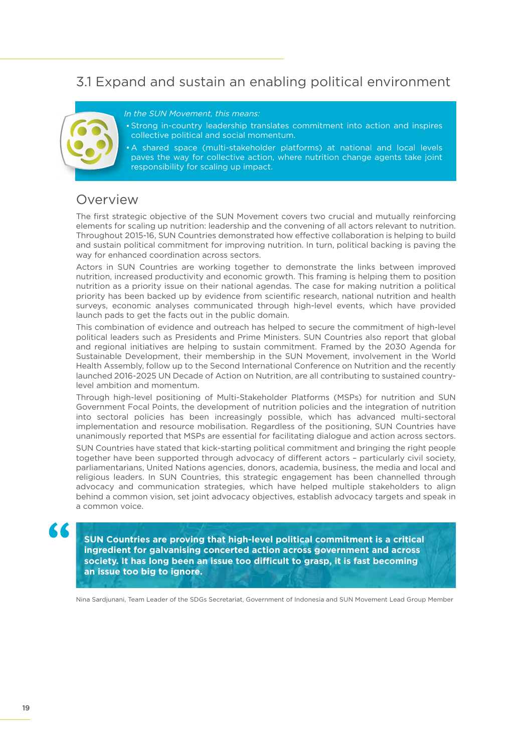# 3.1 Expand and sustain an enabling political environment



#### In the SUN Movement, this means:

• Strong in-country leadership translates commitment into action and inspires • collective political and social momentum.

• A shared space (multi-stakeholder platforms) at national and local levels •A sharpaves the way for collective action, where nutrition change agents take joint responsibility for scaling up impact.

# Overview

The first strategic objective of the SUN Movement covers two crucial and mutually reinforcing elements for scaling up nutrition: leadership and the convening of all actors relevant to nutrition. Throughout 2015-16, SUN Countries demonstrated how effective collaboration is helping to build and sustain political commitment for improving nutrition. In turn, political backing is paving the way for enhanced coordination across sectors.

Actors in SUN Countries are working together to demonstrate the links between improved nutrition, increased productivity and economic growth. This framing is helping them to position nutrition as a priority issue on their national agendas. The case for making nutrition a political priority has been backed up by evidence from scientific research, national nutrition and health surveys, economic analyses communicated through high-level events, which have provided launch pads to get the facts out in the public domain.

This combination of evidence and outreach has helped to secure the commitment of high-level political leaders such as Presidents and Prime Ministers. SUN Countries also report that global and regional initiatives are helping to sustain commitment. Framed by the 2030 Agenda for Sustainable Development, their membership in the SUN Movement, involvement in the World Health Assembly, follow up to the Second International Conference on Nutrition and the recently launched 2016-2025 UN Decade of Action on Nutrition, are all contributing to sustained countrylevel ambition and momentum.

Through high-level positioning of Multi-Stakeholder Platforms (MSPs) for nutrition and SUN Government Focal Points, the development of nutrition policies and the integration of nutrition into sectoral policies has been increasingly possible, which has advanced multi-sectoral implementation and resource mobilisation. Regardless of the positioning, SUN Countries have unanimously reported that MSPs are essential for facilitating dialogue and action across sectors.

SUN Countries have stated that kick-starting political commitment and bringing the right people together have been supported through advocacy of different actors - particularly civil society, parliamentarians, United Nations agencies, donors, academia, business, the media and local and religious leaders. In SUN Countries, this strategic engagement has been channelled through advocacy and communication strategies, which have helped multiple stakeholders to align behind a common vision, set joint advocacy objectives, establish advocacy targets and speak in a common voice.

### "

**SUN Countries are proving that high-level political commitment is a critical ingredient for galvanising concerted action across government and across**  society. It has long been an issue too difficult to grasp, it is fast becoming **an issue too big to ignore.**

Nina Sardjunani, Team Leader of the SDGs Secretariat, Government of Indonesia and SUN Movement Lead Group Member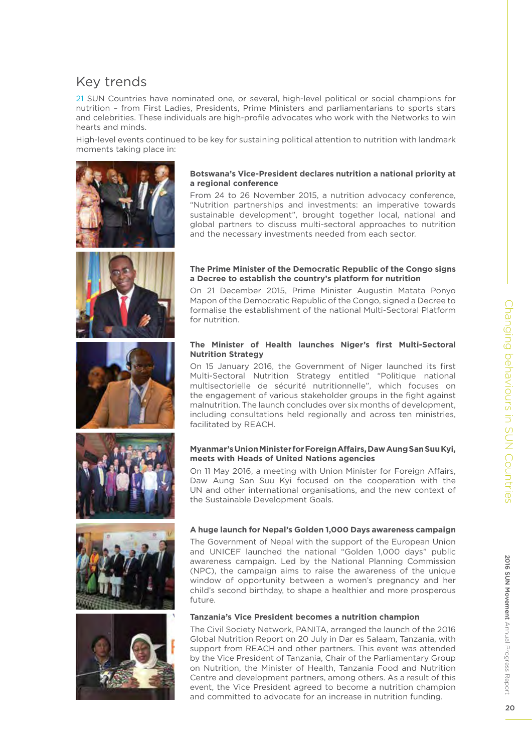# Key trends

21 SUN Countries have nominated one, or several, high-level political or social champions for nutrition – from First Ladies, Presidents, Prime Ministers and parliamentarians to sports stars and celebrities. These individuals are high-profile advocates who work with the Networks to win hearts and minds.

High-level events continued to be key for sustaining political attention to nutrition with landmark moments taking place in:













#### **Botswana's Vice-President declares nutrition a national priority at a regional conference**

From 24 to 26 November 2015, a nutrition advocacy conference, "Nutrition partnerships and investments: an imperative towards sustainable development", brought together local, national and global partners to discuss multi-sectoral approaches to nutrition and the necessary investments needed from each sector.

#### **The Prime Minister of the Democratic Republic of the Congo signs a Decree to establish the country's platform for nutrition**

On 21 December 2015, Prime Minister Augustin Matata Ponyo Mapon of the Democratic Republic of the Congo, signed a Decree to formalise the establishment of the national Multi-Sectoral Platform for nutrition.

#### **The Minister of Health launches Niger's first Multi-Sectoral Nutrition Strategy**

On 15 January 2016, the Government of Niger launched its first Multi-Sectoral Nutrition Strategy entitled "Politique national multisectorielle de sécurité nutritionnelle", which focuses on the engagement of various stakeholder groups in the fight against malnutrition. The launch concludes over six months of development, including consultations held regionally and across ten ministries, facilitated by REACH.

#### **Myanmar's Union Minister for Foreign Affairs, Daw Aung San Suu Kyi, meets with Heads of United Nations agencies**

On 11 May 2016, a meeting with Union Minister for Foreign Affairs, Daw Aung San Suu Kyi focused on the cooperation with the UN and other international organisations, and the new context of the Sustainable Development Goals.

#### **A huge launch for Nepal's Golden 1,000 Days awareness campaign**

The Government of Nepal with the support of the European Union and UNICEF launched the national "Golden 1,000 days" public awareness campaign. Led by the National Planning Commission (NPC), the campaign aims to raise the awareness of the unique window of opportunity between a women's pregnancy and her child's second birthday, to shape a healthier and more prosperous future.

#### **Tanzania's Vice President becomes a nutrition champion**

The Civil Society Network, PANITA, arranged the launch of the 2016 Global Nutrition Report on 20 July in Dar es Salaam, Tanzania, with support from REACH and other partners. This event was attended by the Vice President of Tanzania, Chair of the Parliamentary Group on Nutrition, the Minister of Health, Tanzania Food and Nutrition Centre and development partners, among others. As a result of this event, the Vice President agreed to become a nutrition champion and committed to advocate for an increase in nutrition funding.

2016 SUN Movement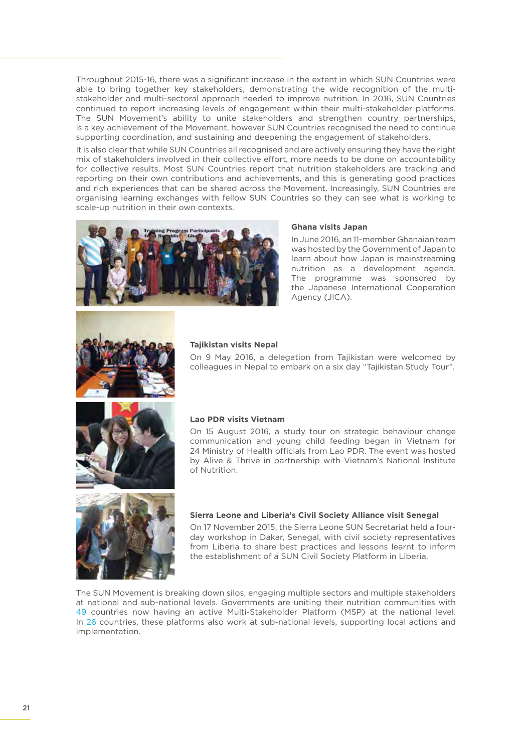Throughout 2015-16, there was a significant increase in the extent in which SUN Countries were able to bring together key stakeholders, demonstrating the wide recognition of the multistakeholder and multi-sectoral approach needed to improve nutrition. In 2016, SUN Countries continued to report increasing levels of engagement within their multi-stakeholder platforms. The SUN Movement's ability to unite stakeholders and strengthen country partnerships, is a key achievement of the Movement, however SUN Countries recognised the need to continue supporting coordination, and sustaining and deepening the engagement of stakeholders.

It is also clear that while SUN Countries all recognised and are actively ensuring they have the right mix of stakeholders involved in their collective effort, more needs to be done on accountability for collective results. Most SUN Countries report that nutrition stakeholders are tracking and reporting on their own contributions and achievements, and this is generating good practices and rich experiences that can be shared across the Movement. Increasingly, SUN Countries are organising learning exchanges with fellow SUN Countries so they can see what is working to scale-up nutrition in their own contexts.



#### **Ghana visits Japan**

In June 2016, an 11-member Ghanaian team was hosted by the Government of Japan to learn about how Japan is mainstreaming nutrition as a development agenda. The programme was sponsored by the Japanese International Cooperation Agency (JICA).



#### **Tajikistan visits Nepal**

On 9 May 2016, a delegation from Tajikistan were welcomed by colleagues in Nepal to embark on a six day "Tajikistan Study Tour".



#### **Lao PDR visits Vietnam**

On 15 August 2016, a study tour on strategic behaviour change communication and young child feeding began in Vietnam for 24 Ministry of Health officials from Lao PDR. The event was hosted by Alive & Thrive in partnership with Vietnam's National Institute of Nutrition.



#### **Sierra Leone and Liberia's Civil Society Alliance visit Senegal**

On 17 November 2015, the Sierra Leone SUN Secretariat held a fourday workshop in Dakar, Senegal, with civil society representatives from Liberia to share best practices and lessons learnt to inform the establishment of a SUN Civil Society Platform in Liberia.

The SUN Movement is breaking down silos, engaging multiple sectors and multiple stakeholders at national and sub-national levels. Governments are uniting their nutrition communities with 49 countries now having an active Multi-Stakeholder Platform (MSP) at the national level. In 26 countries, these platforms also work at sub-national levels, supporting local actions and implementation.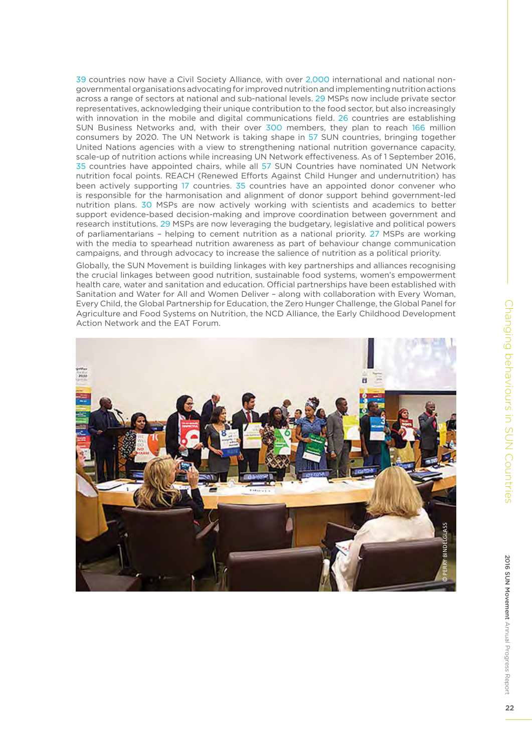39 countries now have a Civil Society Alliance, with over 2,000 international and national nongovernmental organisations advocating for improved nutrition and implementing nutrition actions across a range of sectors at national and sub-national levels. 29 MSPs now include private sector representatives, acknowledging their unique contribution to the food sector, but also increasingly with innovation in the mobile and digital communications field. 26 countries are establishing SUN Business Networks and, with their over 300 members, they plan to reach 166 million consumers by 2020. The UN Network is taking shape in 57 SUN countries, bringing together United Nations agencies with a view to strengthening national nutrition governance capacity, scale-up of nutrition actions while increasing UN Network effectiveness. As of 1 September 2016, 35 countries have appointed chairs, while all 57 SUN Countries have nominated UN Network nutrition focal points. REACH (Renewed Efforts Against Child Hunger and undernutrition) has been actively supporting 17 countries. 35 countries have an appointed donor convener who is responsible for the harmonisation and alignment of donor support behind government-led nutrition plans. 30 MSPs are now actively working with scientists and academics to better support evidence-based decision-making and improve coordination between government and research institutions. 29 MSPs are now leveraging the budgetary, legislative and political powers of parliamentarians – helping to cement nutrition as a national priority. 27 MSPs are working with the media to spearhead nutrition awareness as part of behaviour change communication campaigns, and through advocacy to increase the salience of nutrition as a political priority.

Globally, the SUN Movement is building linkages with key partnerships and alliances recognising the crucial linkages between good nutrition, sustainable food systems, women's empowerment health care, water and sanitation and education. Official partnerships have been established with Sanitation and Water for All and Women Deliver – along with collaboration with Every Woman, Every Child, the Global Partnership for Education, the Zero Hunger Challenge, the Global Panel for Agriculture and Food Systems on Nutrition, the NCD Alliance, the Early Childhood Development Action Network and the EAT Forum.

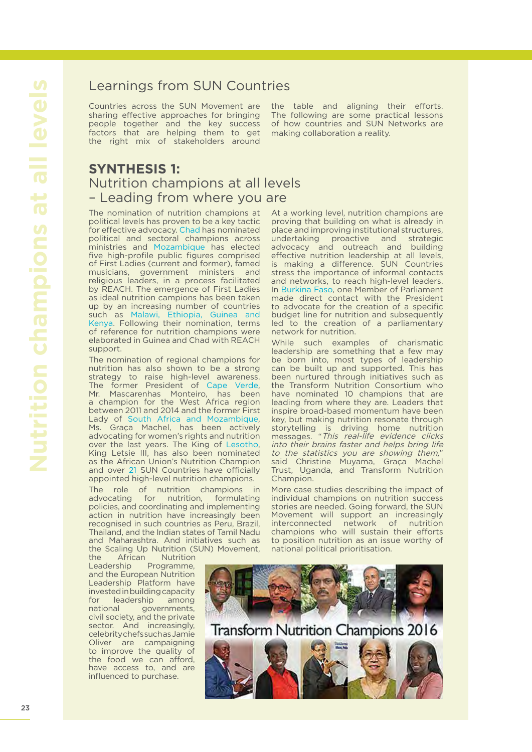# Learnings from SUN Countries

Countries across the SUN Movement are sharing effective approaches for bringing people together and the key success factors that are helping them to get the right mix of stakeholders around

the table and aligning their efforts. The following are some practical lessons of how countries and SUN Networks are making collaboration a reality.

# **SYNTHESIS 1:**  Nutrition champions at all levels – Leading from where you are

The nomination of nutrition champions at political levels has proven to be a key tactic for effective advocacy. Chad has nominated political and sectoral champions across ministries and Mozambique has elected five high-profile public figures comprised of First Ladies (current and former), famed musicians, government ministers and religious leaders, in a process facilitated by REACH. The emergence of First Ladies as ideal nutrition campions has been taken up by an increasing number of countries such as Malawi, Ethiopia, Guinea and Kenya. Following their nomination, terms of reference for nutrition champions were elaborated in Guinea and Chad with REACH support.

The nomination of regional champions for nutrition has also shown to be a strong strategy to raise high-level awareness. The former President of Cape Verde, Mr. Mascarenhas Monteiro, has been a champion for the West Africa region between 2011 and 2014 and the former First Lady of South Africa and Mozambique, Ms. Graça Machel, has been actively advocating for women's rights and nutrition over the last years. The King of Lesotho, King Letsie III, has also been nominated as the African Union's Nutrition Champion and over 21 SUN Countries have officially appointed high-level nutrition champions.

The role of nutrition champions in<br>advocating for nutrition, formulating advocating for nutrition, formulating policies, and coordinating and implementing action in nutrition have increasingly been recognised in such countries as Peru, Brazil, Thailand, and the Indian states of Tamil Nadu and Maharashtra. And initiatives such as the Scaling Up Nutrition (SUN) Movement,

the African Nutrition Leadership Programme, and the European Nutrition Leadership Platform have invested in building capacity for leadership among national governments, civil society, and the private sector. And increasingly, celebrity chefs such as Jamie Oliver are campaigning to improve the quality of the food we can afford, have access to, and are influenced to purchase.

At a working level, nutrition champions are proving that building on what is already in place and improving institutional structures, undertaking proactive and strategic advocacy and outreach and building effective nutrition leadership at all levels, is making a difference. SUN Countries stress the importance of informal contacts and networks, to reach high-level leaders. In Burkina Faso, one Member of Parliament made direct contact with the President to advocate for the creation of a specific budget line for nutrition and subsequently led to the creation of a parliamentary network for nutrition.

While such examples of charismatic leadership are something that a few may be born into, most types of leadership can be built up and supported. This has been nurtured through initiatives such as the Transform Nutrition Consortium who have nominated 10 champions that are leading from where they are. Leaders that inspire broad-based momentum have been key, but making nutrition resonate through storytelling is driving home nutrition messages. "This real-life evidence clicks into their brains faster and helps bring life to the statistics you are showing them," said Christine Muyama, Graça Machel Trust, Uganda, and Transform Nutrition Champion.

More case studies describing the impact of individual champions on nutrition success stories are needed. Going forward, the SUN Movement will support an increasingly<br>interconnected network of nutrition network of nutrition champions who will sustain their efforts to position nutrition as an issue worthy of national political prioritisation.

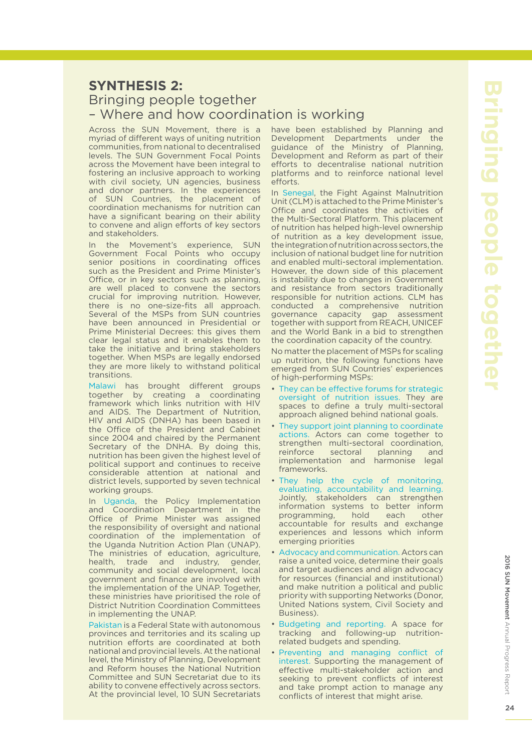### **SYNTHESIS 2:**  Bringing people together – Where and how coordination is working

Across the SUN Movement, there is a myriad of different ways of uniting nutrition communities, from national to decentralised levels. The SUN Government Focal Points across the Movement have been integral to fostering an inclusive approach to working with civil society, UN agencies, business and donor partners. In the experiences of SUN Countries, the placement of coordination mechanisms for nutrition can have a significant bearing on their ability to convene and align efforts of key sectors and stakeholders.

In the Movement's experience, SUN Government Focal Points who occupy senior positions in coordinating offices such as the President and Prime Minister's Office, or in key sectors such as planning, are well placed to convene the sectors crucial for improving nutrition. However, there is no one-size-fits all approach. Several of the MSPs from SUN countries have been announced in Presidential or Prime Ministerial Decrees: this gives them clear legal status and it enables them to take the initiative and bring stakeholders together. When MSPs are legally endorsed they are more likely to withstand political transitions.

Malawi has brought different groups together by creating a coordinating framework which links nutrition with HIV and AIDS. The Department of Nutrition, HIV and AIDS (DNHA) has been based in the Office of the President and Cabinet since 2004 and chaired by the Permanent Secretary of the DNHA. By doing this, nutrition has been given the highest level of political support and continues to receive considerable attention at national and district levels, supported by seven technical working groups.

In Uganda, the Policy Implementation and Coordination Department in the Office of Prime Minister was assigned the responsibility of oversight and national coordination of the implementation of the Uganda Nutrition Action Plan (UNAP). The ministries of education, agriculture,<br>health, trade and industry. gender. health, trade and industry, gender, community and social development, local government and finance are involved with the implementation of the UNAP. Together, these ministries have prioritised the role of District Nutrition Coordination Committees in implementing the UNAP.

Pakistan is a Federal State with autonomous provinces and territories and its scaling up nutrition efforts are coordinated at both national and provincial levels. At the national level, the Ministry of Planning, Development and Reform houses the National Nutrition Committee and SUN Secretariat due to its ability to convene effectively across sectors. At the provincial level, 10 SUN Secretariats

have been established by Planning and Development Departments under the guidance of the Ministry of Planning, Development and Reform as part of their efforts to decentralise national nutrition platforms and to reinforce national level efforts.

In Senegal, the Fight Against Malnutrition Unit (CLM) is attached to the Prime Minister's Office and coordinates the activities of the Multi-Sectoral Platform. This placement of nutrition has helped high-level ownership of nutrition as a key development issue, the integration of nutrition across sectors, the inclusion of national budget line for nutrition and enabled multi-sectoral implementation. However, the down side of this placement is instability due to changes in Government and resistance from sectors traditionally responsible for nutrition actions. CLM has conducted a comprehensive nutrition governance capacity gap assessment together with support from REACH, UNICEF and the World Bank in a bid to strengthen the coordination capacity of the country.

No matter the placement of MSPs for scaling up nutrition, the following functions have emerged from SUN Countries' experiences of high-performing MSPs:

- They can be effective forums for strategic oversight of nutrition issues. They are spaces to define a truly multi-sectoral approach aligned behind national goals.
- They support joint planning to coordinate actions. Actors can come together to strengthen multi-sectoral coordination, reinforce sectoral planning and implementation and harmonise legal frameworks.
- They help the cycle of monitoring, evaluating, accountability and learning. Jointly, stakeholders can strengthen information systems to better inform programming, hold each other accountable for results and exchange experiences and lessons which inform emerging priorities
- Advocacy and communication. Actors can raise a united voice, determine their goals and target audiences and align advocacy for resources (financial and institutional) and make nutrition a political and public priority with supporting Networks (Donor, United Nations system, Civil Society and Business).
- Budgeting and reporting. A space for tracking and following-up nutritionrelated budgets and spending.
- Preventing and managing conflict of interest. Supporting the management of effective multi-stakeholder action and seeking to prevent conflicts of interest and take prompt action to manage any conflicts of interest that might arise.

Annual Progress Report

Report

2016 SUN Movement

2016 SUN Movement Annual Progress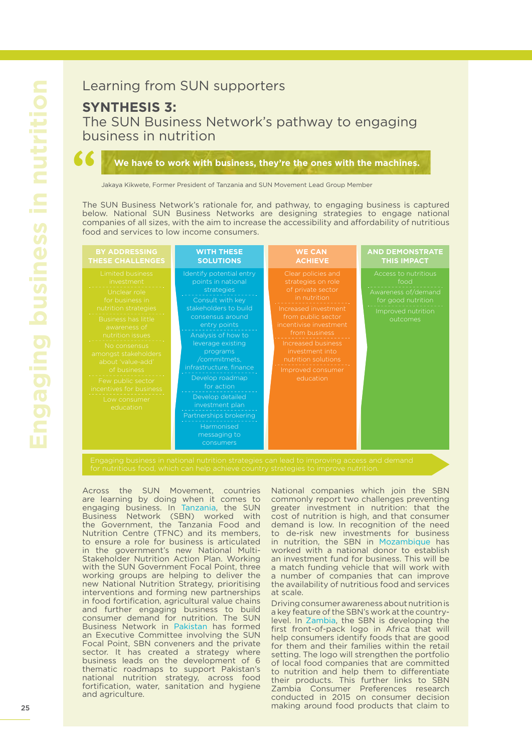# Learning from SUN supporters

### **SYNTHESIS 3:**

The SUN Business Network's pathway to engaging business in nutrition

#### **We have to work with business, they're the ones with the machines.**

Jakaya Kikwete, Former President of Tanzania and SUN Movement Lead Group Member

The SUN Business Network's rationale for, and pathway, to engaging business is captured below. National SUN Business Networks are designing strategies to engage national companies of all sizes, with the aim to increase the accessibility and affordability of nutritious food and services to low income consumers.



Across the SUN Movement, countries are learning by doing when it comes to engaging business. In Tanzania, the SUN Business Network (SBN) worked with the Government, the Tanzania Food and Nutrition Centre (TFNC) and its members, to ensure a role for business is articulated in the government's new National Multi-Stakeholder Nutrition Action Plan. Working with the SUN Government Focal Point, three working groups are helping to deliver the new National Nutrition Strategy, prioritising interventions and forming new partnerships in food fortification, agricultural value chains and further engaging business to build consumer demand for nutrition. The SUN Business Network in Pakistan has formed an Executive Committee involving the SUN Focal Point, SBN conveners and the private sector. It has created a strategy where business leads on the development of 6 thematic roadmaps to support Pakistan's national nutrition strategy, across food fortification, water, sanitation and hygiene and agriculture.

National companies which join the SBN commonly report two challenges preventing greater investment in nutrition: that the cost of nutrition is high, and that consumer demand is low. In recognition of the need to de-risk new investments for business in nutrition, the SBN in Mozambique has worked with a national donor to establish an investment fund for business. This will be a match funding vehicle that will work with a number of companies that can improve the availability of nutritious food and services at scale.

Driving consumer awareness about nutrition is a key feature of the SBN's work at the countrylevel. In Zambia, the SBN is developing the first front-of-pack logo in Africa that will help consumers identify foods that are good for them and their families within the retail setting. The logo will strengthen the portfolio of local food companies that are committed to nutrition and help them to differentiate their products. This further links to SBN Zambia Consumer Preferences research conducted in 2015 on consumer decision making around food products that claim to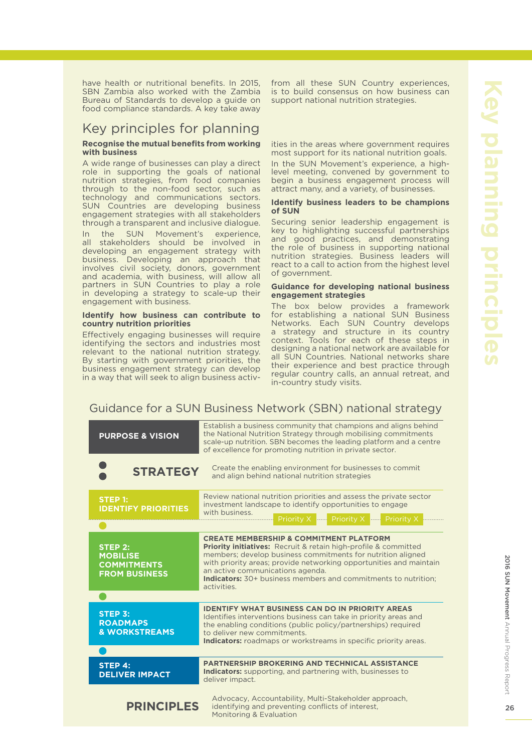have health or nutritional benefits. In 2015, SBN Zambia also worked with the Zambia Bureau of Standards to develop a guide on food compliance standards. A key take away

### Key principles for planning

#### **Recognise the mutual benefits from working with business**

A wide range of businesses can play a direct role in supporting the goals of national nutrition strategies, from food companies through to the non-food sector, such as technology and communications sectors. SUN Countries are developing business engagement strategies with all stakeholders through a transparent and inclusive dialogue.

In the SUN Movement's experience, all stakeholders should be involved in developing an engagement strategy with business. Developing an approach that involves civil society, donors, government and academia, with business, will allow all partners in SUN Countries to play a role in developing a strategy to scale-up their engagement with business.

#### **Identify how business can contribute to country nutrition priorities**

Effectively engaging businesses will require identifying the sectors and industries most relevant to the national nutrition strategy. By starting with government priorities, the business engagement strategy can develop in a way that will seek to align business activfrom all these SUN Country experiences, is to build consensus on how business can support national nutrition strategies.

ities in the areas where government requires most support for its national nutrition goals.

In the SUN Movement's experience, a highlevel meeting, convened by government to begin a business engagement process will attract many, and a variety, of businesses.

#### **Identify business leaders to be champions of SUN**

Securing senior leadership engagement is key to highlighting successful partnerships and good practices, and demonstrating the role of business in supporting national nutrition strategies. Business leaders will react to a call to action from the highest level of government.

#### **Guidance for developing national business engagement strategies**

The box below provides a framework for establishing a national SUN Business Networks. Each SUN Country develops a strategy and structure in its country context. Tools for each of these steps in designing a national network are available for all SUN Countries. National networks share their experience and best practice through regular country calls, an annual retreat, and in-country study visits.

### Guidance for a SUN Business Network (SBN) national strategy

| <b>PURPOSE &amp; VISION</b>                                              | Establish a business community that champions and aligns behind<br>the National Nutrition Strategy through mobilising commitments<br>scale-up nutrition. SBN becomes the leading platform and a centre<br>of excellence for promoting nutrition in private sector.                                                                                                                            |  |  |
|--------------------------------------------------------------------------|-----------------------------------------------------------------------------------------------------------------------------------------------------------------------------------------------------------------------------------------------------------------------------------------------------------------------------------------------------------------------------------------------|--|--|
| <b>STRATEGY</b>                                                          | Create the enabling environment for businesses to commit<br>and align behind national nutrition strategies                                                                                                                                                                                                                                                                                    |  |  |
| STEP <sub>1:</sub><br><b>IDENTIFY PRIORITIES</b>                         | Review national nutrition priorities and assess the private sector<br>investment landscape to identify opportunities to engage<br>with business.<br><b>Priority X</b><br><b>Priority X</b><br>Priority X                                                                                                                                                                                      |  |  |
| STEP 2:<br><b>MOBILISE</b><br><b>COMMITMENTS</b><br><b>FROM BUSINESS</b> | <b>CREATE MEMBERSHIP &amp; COMMITMENT PLATFORM</b><br><b>Priority initiatives:</b> Recruit & retain high-profile & committed<br>members; develop business commitments for nutrition aligned<br>with priority areas; provide networking opportunities and maintain<br>an active communications agenda.<br><b>Indicators:</b> 30+ business members and commitments to nutrition:<br>activities. |  |  |
|                                                                          |                                                                                                                                                                                                                                                                                                                                                                                               |  |  |
| <b>STEP 3:</b><br><b>ROADMAPS</b><br><b>&amp; WORKSTREAMS</b>            | <b>IDENTIFY WHAT BUSINESS CAN DO IN PRIORITY AREAS</b><br>Identifies interventions business can take in priority areas and<br>the enabling conditions (public policy/partnerships) required<br>to deliver new commitments.<br>Indicators: roadmaps or workstreams in specific priority areas.                                                                                                 |  |  |
|                                                                          |                                                                                                                                                                                                                                                                                                                                                                                               |  |  |
| <b>STEP 4:</b><br><b>DELIVER IMPACT</b>                                  | <b>PARTNERSHIP BROKERING AND TECHNICAL ASSISTANCE</b><br><b>Indicators:</b> supporting, and partnering with, businesses to<br>deliver impact.                                                                                                                                                                                                                                                 |  |  |
| <b>PRINCIPLES</b>                                                        | Advocacy, Accountability, Multi-Stakeholder approach,<br>identifying and preventing conflicts of interest.<br>Monitoring & Evaluation                                                                                                                                                                                                                                                         |  |  |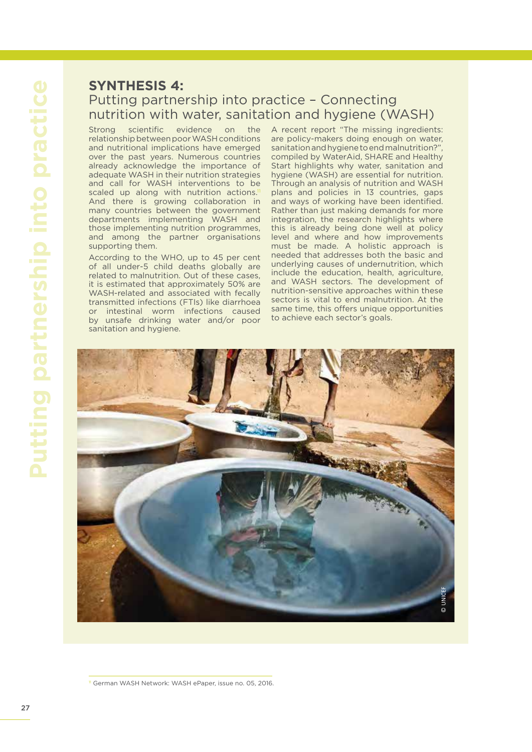# **SYNTHESIS 4:**

# Putting partnership into practice – Connecting nutrition with water, sanitation and hygiene (WASH)

Strong scientific evidence on the relationship between poor WASH conditions and nutritional implications have emerged over the past years. Numerous countries already acknowledge the importance of adequate WASH in their nutrition strategies and call for WASH interventions to be scaled up along with nutrition actions.<sup>11</sup> And there is growing collaboration in many countries between the government departments implementing WASH and those implementing nutrition programmes, and among the partner organisations supporting them.

According to the WHO, up to 45 per cent of all under-5 child deaths globally are related to malnutrition. Out of these cases, it is estimated that approximately 50% are WASH-related and associated with fecally transmitted infections (FTIs) like diarrhoea or intestinal worm infections caused by unsafe drinking water and/or poor sanitation and hygiene.

A recent report "The missing ingredients: are policy-makers doing enough on water, sanitation and hygiene to end malnutrition?", compiled by WaterAid, SHARE and Healthy Start highlights why water, sanitation and hygiene (WASH) are essential for nutrition. Through an analysis of nutrition and WASH plans and policies in 13 countries, gaps and ways of working have been identified. Rather than just making demands for more integration, the research highlights where this is already being done well at policy level and where and how improvements must be made. A holistic approach is needed that addresses both the basic and underlying causes of undernutrition, which include the education, health, agriculture, and WASH sectors. The development of nutrition-sensitive approaches within these sectors is vital to end malnutrition. At the same time, this offers unique opportunities to achieve each sector's goals.



<sup>&</sup>lt;sup>11</sup> German WASH Network: WASH ePaper, issue no. 05, 2016.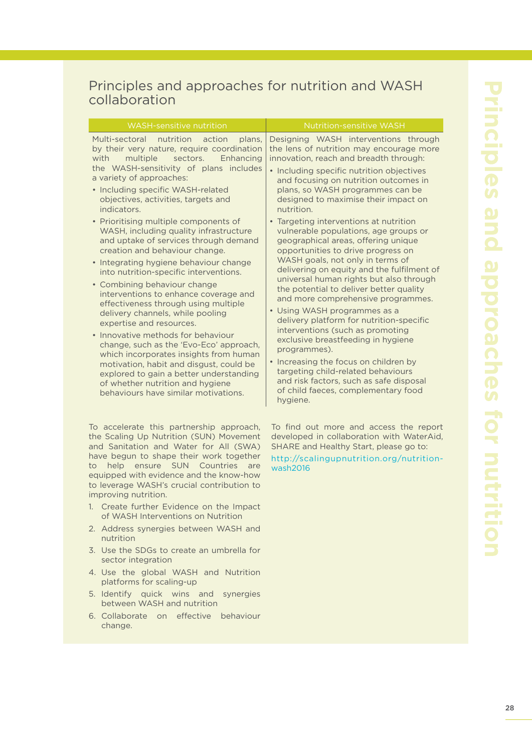# Principles and approaches for nutrition and WASH collaboration

| WASH-sensitive nutrition                                                                                                                                                                                                                                                                                                                                                                                                                                                                                                                                                                                                                                                                                                                                                                                                                                                                                                                                                                                                                    | Nutrition-sensitive WASH                                                                                                                                                                                                                                                                                                                                                                                                                                                                                                                                                                                                                                                                                                                                                                                                                                                                                                                                                                                                                    |
|---------------------------------------------------------------------------------------------------------------------------------------------------------------------------------------------------------------------------------------------------------------------------------------------------------------------------------------------------------------------------------------------------------------------------------------------------------------------------------------------------------------------------------------------------------------------------------------------------------------------------------------------------------------------------------------------------------------------------------------------------------------------------------------------------------------------------------------------------------------------------------------------------------------------------------------------------------------------------------------------------------------------------------------------|---------------------------------------------------------------------------------------------------------------------------------------------------------------------------------------------------------------------------------------------------------------------------------------------------------------------------------------------------------------------------------------------------------------------------------------------------------------------------------------------------------------------------------------------------------------------------------------------------------------------------------------------------------------------------------------------------------------------------------------------------------------------------------------------------------------------------------------------------------------------------------------------------------------------------------------------------------------------------------------------------------------------------------------------|
| Multi-sectoral<br>nutrition<br>action<br>plans,<br>by their very nature, require coordination<br>sectors.<br>with<br>multiple<br>Enhancing<br>the WASH-sensitivity of plans includes<br>a variety of approaches:<br>• Including specific WASH-related<br>objectives, activities, targets and<br>indicators.<br>• Prioritising multiple components of<br>WASH, including quality infrastructure<br>and uptake of services through demand<br>creation and behaviour change.<br>• Integrating hygiene behaviour change<br>into nutrition-specific interventions.<br>• Combining behaviour change<br>interventions to enhance coverage and<br>effectiveness through using multiple<br>delivery channels, while pooling<br>expertise and resources.<br>• Innovative methods for behaviour<br>change, such as the 'Evo-Eco' approach,<br>which incorporates insights from human<br>motivation, habit and disgust, could be<br>explored to gain a better understanding<br>of whether nutrition and hygiene<br>behaviours have similar motivations. | Designing WASH interventions through<br>the lens of nutrition may encourage more<br>innovation, reach and breadth through:<br>• Including specific nutrition objectives<br>and focusing on nutrition outcomes in<br>plans, so WASH programmes can be<br>designed to maximise their impact on<br>nutrition.<br>• Targeting interventions at nutrition<br>vulnerable populations, age groups or<br>geographical areas, offering unique<br>opportunities to drive progress on<br>WASH goals, not only in terms of<br>delivering on equity and the fulfilment of<br>universal human rights but also through<br>the potential to deliver better quality<br>and more comprehensive programmes.<br>• Using WASH programmes as a<br>delivery platform for nutrition-specific<br>interventions (such as promoting<br>exclusive breastfeeding in hygiene<br>programmes).<br>• Increasing the focus on children by<br>targeting child-related behaviours<br>and risk factors, such as safe disposal<br>of child faeces, complementary food<br>hygiene. |
| To accelerate this partnership approach,<br>the Scaling Up Nutrition (SUN) Movement<br>and Sanitation and Water for All (SWA)<br>have begun to shape their work together<br>help ensure SUN Countries<br>to<br>are<br>equipped with evidence and the know-how<br>to leverage WASH's crucial contribution to<br>improving nutrition.                                                                                                                                                                                                                                                                                                                                                                                                                                                                                                                                                                                                                                                                                                         | To find out more and access the report<br>developed in collaboration with WaterAid,<br>SHARE and Healthy Start, please go to:<br>http://scalingupnutrition.org/nutrition-<br>wash2016                                                                                                                                                                                                                                                                                                                                                                                                                                                                                                                                                                                                                                                                                                                                                                                                                                                       |
| 1. Create further Evidence on the Impact<br>of WASH Interventions on Nutrition                                                                                                                                                                                                                                                                                                                                                                                                                                                                                                                                                                                                                                                                                                                                                                                                                                                                                                                                                              |                                                                                                                                                                                                                                                                                                                                                                                                                                                                                                                                                                                                                                                                                                                                                                                                                                                                                                                                                                                                                                             |
| 2. Address synergies between WASH and<br>nutrition                                                                                                                                                                                                                                                                                                                                                                                                                                                                                                                                                                                                                                                                                                                                                                                                                                                                                                                                                                                          |                                                                                                                                                                                                                                                                                                                                                                                                                                                                                                                                                                                                                                                                                                                                                                                                                                                                                                                                                                                                                                             |
| 3. Use the SDGs to create an umbrella for                                                                                                                                                                                                                                                                                                                                                                                                                                                                                                                                                                                                                                                                                                                                                                                                                                                                                                                                                                                                   |                                                                                                                                                                                                                                                                                                                                                                                                                                                                                                                                                                                                                                                                                                                                                                                                                                                                                                                                                                                                                                             |

- sector integration 4. Use the global WASH and Nutrition platforms for scaling-up
- 5. Identify quick wins and synergies between WASH and nutrition
- 6. Collaborate on effective behaviour change.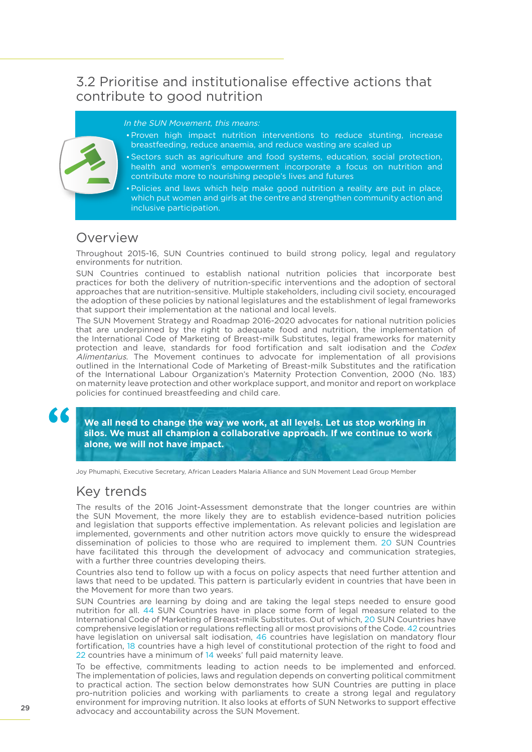# 3.2 Prioritise and institutionalise effective actions that contribute to good nutrition

#### In the SUN Movement, this means:

- Proven high impact nutrition interventions to reduce stunting, increase breastfeeding, reduce anaemia, and reduce wasting are scaled up
- Sectors such as agriculture and food systems, education, social protection, health and women's empowerment incorporate a focus on nutrition and contribute more to nourishing people's lives and futures
- Policies and laws which help make good nutrition a reality are put in place, •which put women and girls at the centre and strengthen community action and inclusive participation.

### Overview

Throughout 2015-16, SUN Countries continued to build strong policy, legal and regulatory environments for nutrition.

SUN Countries continued to establish national nutrition policies that incorporate best practices for both the delivery of nutrition-specific interventions and the adoption of sectoral approaches that are nutrition-sensitive. Multiple stakeholders, including civil society, encouraged the adoption of these policies by national legislatures and the establishment of legal frameworks that support their implementation at the national and local levels.

The SUN Movement Strategy and Roadmap 2016-2020 advocates for national nutrition policies that are underpinned by the right to adequate food and nutrition, the implementation of the International Code of Marketing of Breast-milk Substitutes, legal frameworks for maternity protection and leave, standards for food fortification and salt iodisation and the Codex Alimentarius. The Movement continues to advocate for implementation of all provisions outlined in the International Code of Marketing of Breast-milk Substitutes and the ratification of the International Labour Organization's Maternity Protection Convention, 2000 (No. 183) on maternity leave protection and other workplace support, and monitor and report on workplace policies for continued breastfeeding and child care.

**We all need to change the way we work, at all levels. Let us stop working in silos. We must all champion a collaborative approach. If we continue to work alone, we will not have impact.**

Joy Phumaphi, Executive Secretary, African Leaders Malaria Alliance and SUN Movement Lead Group Member

# Key trends

The results of the 2016 Joint-Assessment demonstrate that the longer countries are within the SUN Movement, the more likely they are to establish evidence-based nutrition policies and legislation that supports effective implementation. As relevant policies and legislation are implemented, governments and other nutrition actors move quickly to ensure the widespread dissemination of policies to those who are required to implement them. 20 SUN Countries have facilitated this through the development of advocacy and communication strategies, with a further three countries developing theirs.

Countries also tend to follow up with a focus on policy aspects that need further attention and laws that need to be updated. This pattern is particularly evident in countries that have been in the Movement for more than two years.

SUN Countries are learning by doing and are taking the legal steps needed to ensure good nutrition for all. 44 SUN Countries have in place some form of legal measure related to the International Code of Marketing of Breast-milk Substitutes. Out of which, 20 SUN Countries have comprehensive legislation or regulations reflecting all or most provisions of the Code. 42 countries have legislation on universal salt iodisation, 46 countries have legislation on mandatory flour fortification, 18 countries have a high level of constitutional protection of the right to food and 22 countries have a minimum of 14 weeks' full paid maternity leave.

To be effective, commitments leading to action needs to be implemented and enforced. The implementation of policies, laws and regulation depends on converting political commitment to practical action. The section below demonstrates how SUN Countries are putting in place pro-nutrition policies and working with parliaments to create a strong legal and regulatory environment for improving nutrition. It also looks at efforts of SUN Networks to support effective advocacy and accountability across the SUN Movement.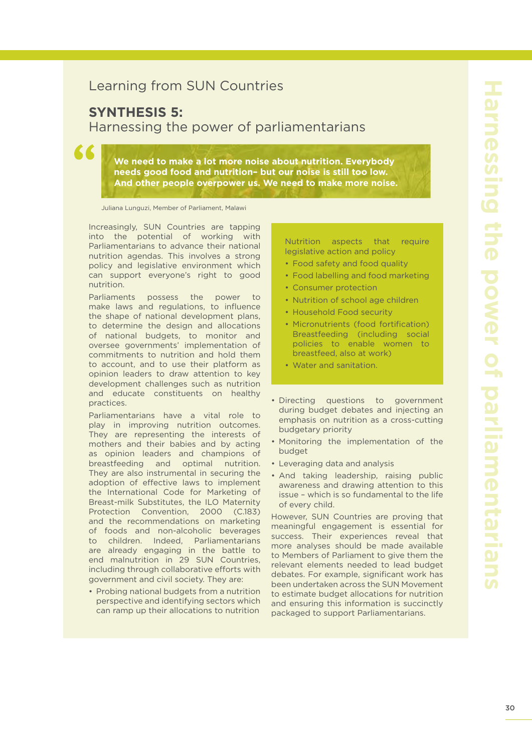# Learning from SUN Countries

# **SYNTHESIS 5:**

"

Harnessing the power of parliamentarians

**We need to make a lot more noise about nutrition. Everybody needs good food and nutrition– but our noise is still too low. And other people overpower us. We need to make more noise.**

Juliana Lunguzi, Member of Parliament, Malawi

Increasingly, SUN Countries are tapping into the potential of working with Parliamentarians to advance their national nutrition agendas. This involves a strong policy and legislative environment which can support everyone's right to good nutrition.

Parliaments possess the power to make laws and regulations, to influence the shape of national development plans, to determine the design and allocations of national budgets, to monitor and oversee governments' implementation of commitments to nutrition and hold them to account, and to use their platform as opinion leaders to draw attention to key development challenges such as nutrition and educate constituents on healthy practices.

Parliamentarians have a vital role to play in improving nutrition outcomes. They are representing the interests of mothers and their babies and by acting as opinion leaders and champions of breastfeeding and optimal nutrition. They are also instrumental in securing the adoption of effective laws to implement the International Code for Marketing of Breast-milk Substitutes, the ILO Maternity Protection Convention, 2000 (C.183) and the recommendations on marketing of foods and non-alcoholic beverages to children. Indeed, Parliamentarians are already engaging in the battle to end malnutrition in 29 SUN Countries, including through collaborative efforts with government and civil society. They are:

• Probing national budgets from a nutrition perspective and identifying sectors which can ramp up their allocations to nutrition

Nutrition aspects that require legislative action and policy

- Food safety and food quality
- Food labelling and food marketing
- Consumer protection
- Nutrition of school age children
- Household Food security
- Micronutrients (food fortification) Breastfeeding (including social policies to enable women to breastfeed, also at work)
- Water and sanitation.
- Directing questions to government during budget debates and injecting an emphasis on nutrition as a cross-cutting budgetary priority
- Monitoring the implementation of the budget
- Leveraging data and analysis
- And taking leadership, raising public awareness and drawing attention to this issue – which is so fundamental to the life of every child.

However, SUN Countries are proving that meaningful engagement is essential for success. Their experiences reveal that more analyses should be made available to Members of Parliament to give them the relevant elements needed to lead budget debates. For example, significant work has been undertaken across the SUN Movement to estimate budget allocations for nutrition and ensuring this information is succinctly packaged to support Parliamentarians.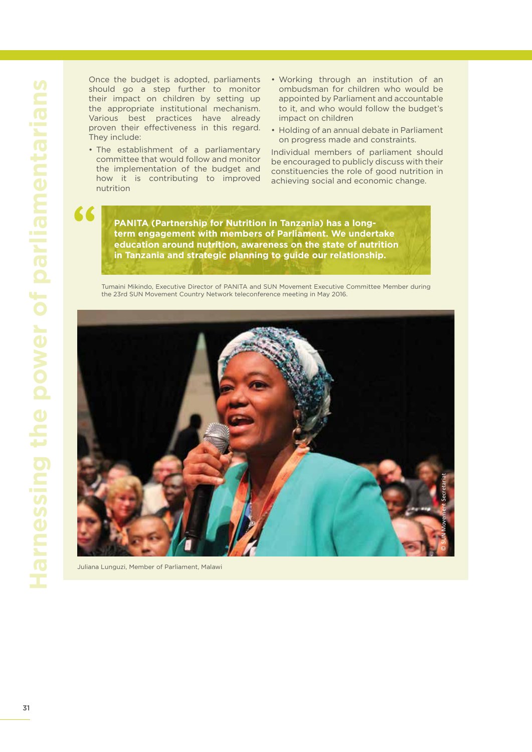66

Once the budget is adopted, parliaments should go a step further to monitor their impact on children by setting up the appropriate institutional mechanism. Various best practices have already proven their effectiveness in this regard. They include:

- The establishment of a parliamentary committee that would follow and monitor the implementation of the budget and how it is contributing to improved nutrition
- Working through an institution of an ombudsman for children who would be appointed by Parliament and accountable to it, and who would follow the budget's impact on children
- Holding of an annual debate in Parliament on progress made and constraints.

Individual members of parliament should be encouraged to publicly discuss with their constituencies the role of good nutrition in achieving social and economic change.

**PANITA (Partnership for Nutrition in Tanzania) has a longterm engagement with members of Parliament. We undertake education around nutrition, awareness on the state of nutrition in Tanzania and strategic planning to guide our relationship.**

Tumaini Mikindo, Executive Director of PANITA and SUN Movement Executive Committee Member during the 23rd SUN Movement Country Network teleconference meeting in May 2016.



Juliana Lunguzi, Member of Parliament, Malawi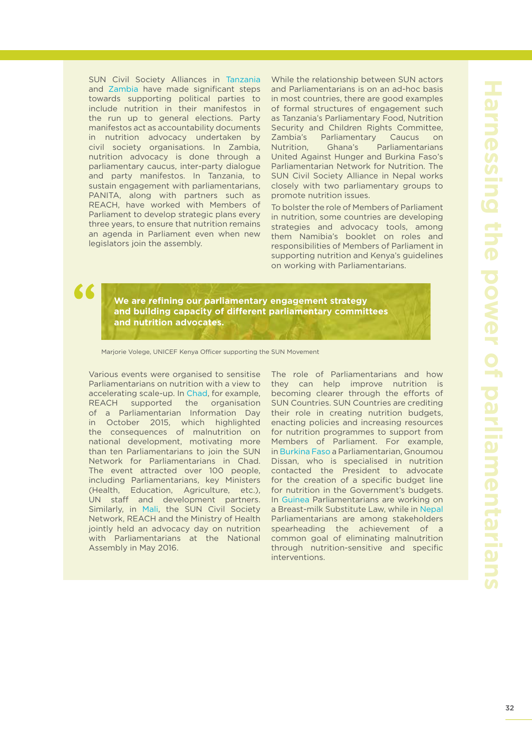SUN Civil Society Alliances in Tanzania and Zambia have made significant steps towards supporting political parties to include nutrition in their manifestos in the run up to general elections. Party manifestos act as accountability documents in nutrition advocacy undertaken by civil society organisations. In Zambia, nutrition advocacy is done through a parliamentary caucus, inter-party dialogue and party manifestos. In Tanzania, to sustain engagement with parliamentarians, PANITA, along with partners such as REACH, have worked with Members of Parliament to develop strategic plans every three years, to ensure that nutrition remains an agenda in Parliament even when new legislators join the assembly.

"

While the relationship between SUN actors and Parliamentarians is on an ad-hoc basis in most countries, there are good examples of formal structures of engagement such as Tanzania's Parliamentary Food, Nutrition Security and Children Rights Committee, Zambia's Parliamentary Caucus on Nutrition, Ghana's Parliamentarians United Against Hunger and Burkina Faso's Parliamentarian Network for Nutrition. The SUN Civil Society Alliance in Nepal works closely with two parliamentary groups to promote nutrition issues.

To bolster the role of Members of Parliament in nutrition, some countries are developing strategies and advocacy tools, among them Namibia's booklet on roles and responsibilities of Members of Parliament in supporting nutrition and Kenya's guidelines on working with Parliamentarians.

**We are refining our parliamentary engagement strategy**  and building capacity of different parliamentary committees **and nutrition advocates.**

Mariorie Volege, UNICEF Kenya Officer supporting the SUN Movement

Various events were organised to sensitise Parliamentarians on nutrition with a view to accelerating scale-up. In Chad, for example, REACH supported the organisation of a Parliamentarian Information Day in October 2015, which highlighted the consequences of malnutrition on national development, motivating more than ten Parliamentarians to join the SUN Network for Parliamentarians in Chad. The event attracted over 100 people, including Parliamentarians, key Ministers (Health, Education, Agriculture, etc.), UN staff and development partners. Similarly, in Mali, the SUN Civil Society Network, REACH and the Ministry of Health jointly held an advocacy day on nutrition with Parliamentarians at the National Assembly in May 2016.

The role of Parliamentarians and how they can help improve nutrition is becoming clearer through the efforts of SUN Countries. SUN Countries are crediting their role in creating nutrition budgets, enacting policies and increasing resources for nutrition programmes to support from Members of Parliament. For example, in Burkina Faso a Parliamentarian, Gnoumou Dissan, who is specialised in nutrition contacted the President to advocate for the creation of a specific budget line for nutrition in the Government's budgets. In Guinea Parliamentarians are working on a Breast-milk Substitute Law, while in Nepal Parliamentarians are among stakeholders spearheading the achievement of a common goal of eliminating malnutrition through nutrition-sensitive and specific interventions.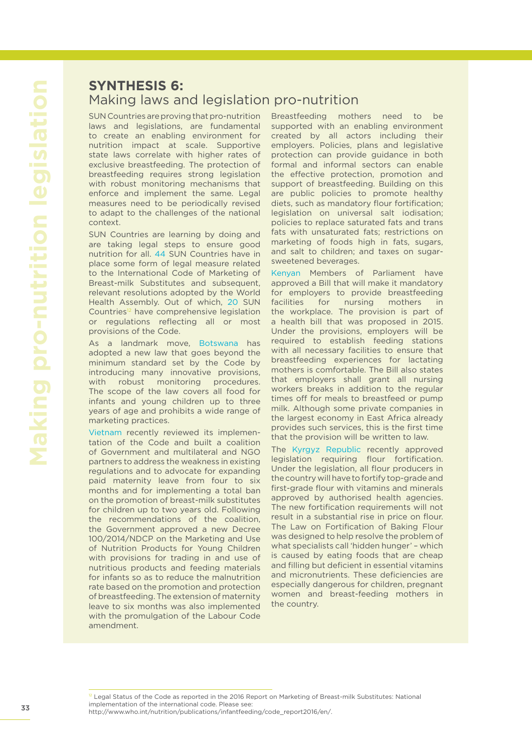# **SYNTHESIS 6:** Making laws and legislation pro-nutrition

SUN Countries are proving that pro-nutrition laws and legislations, are fundamental to create an enabling environment for nutrition impact at scale. Supportive state laws correlate with higher rates of exclusive breastfeeding. The protection of breastfeeding requires strong legislation with robust monitoring mechanisms that enforce and implement the same. Legal measures need to be periodically revised to adapt to the challenges of the national context.

SUN Countries are learning by doing and are taking legal steps to ensure good nutrition for all. 44 SUN Countries have in place some form of legal measure related to the International Code of Marketing of Breast-milk Substitutes and subsequent, relevant resolutions adopted by the World Health Assembly. Out of which, 20 SUN Countries<sup>12</sup> have comprehensive legislation or regulations reflecting all or most provisions of the Code.

As a landmark move, Botswana has adopted a new law that goes beyond the minimum standard set by the Code by introducing many innovative provisions, with robust monitoring procedures. The scope of the law covers all food for infants and young children up to three years of age and prohibits a wide range of marketing practices.

Vietnam recently reviewed its implementation of the Code and built a coalition of Government and multilateral and NGO partners to address the weakness in existing regulations and to advocate for expanding paid maternity leave from four to six months and for implementing a total ban on the promotion of breast-milk substitutes for children up to two years old. Following the recommendations of the coalition, the Government approved a new Decree 100/2014/NDCP on the Marketing and Use of Nutrition Products for Young Children with provisions for trading in and use of nutritious products and feeding materials for infants so as to reduce the malnutrition rate based on the promotion and protection of breastfeeding. The extension of maternity leave to six months was also implemented with the promulgation of the Labour Code amendment.

Breastfeeding mothers need to be supported with an enabling environment created by all actors including their employers. Policies, plans and legislative protection can provide guidance in both formal and informal sectors can enable the effective protection, promotion and support of breastfeeding. Building on this are public policies to promote healthy diets, such as mandatory flour fortification; legislation on universal salt iodisation; policies to replace saturated fats and trans fats with unsaturated fats; restrictions on marketing of foods high in fats, sugars, and salt to children; and taxes on sugarsweetened beverages.

Kenyan Members of Parliament have approved a Bill that will make it mandatory for employers to provide breastfeeding facilities for nursing mothers in the workplace. The provision is part of a health bill that was proposed in 2015. Under the provisions, employers will be required to establish feeding stations with all necessary facilities to ensure that breastfeeding experiences for lactating mothers is comfortable. The Bill also states that employers shall grant all nursing workers breaks in addition to the regular times off for meals to breastfeed or pump milk. Although some private companies in the largest economy in East Africa already provides such services, this is the first time that the provision will be written to law.

The Kyrgyz Republic recently approved legislation requiring flour fortification. Under the legislation, all flour producers in the country will have to fortify top-grade and first-grade flour with vitamins and minerals approved by authorised health agencies. The new fortification requirements will not result in a substantial rise in price on flour. The Law on Fortification of Baking Flour was designed to help resolve the problem of what specialists call 'hidden hunger' – which is caused by eating foods that are cheap and filling but deficient in essential vitamins and micronutrients. These deficiencies are especially dangerous for children, pregnant women and breast-feeding mothers in the country.

<sup>12</sup> Legal Status of the Code as reported in the 2016 Report on Marketing of Breast-milk Substitutes: National implementation of the international code. Please see: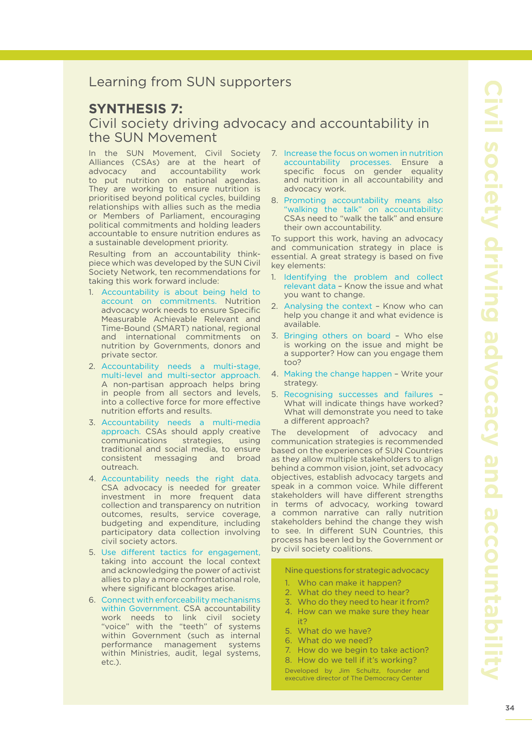### Learning from SUN supporters

### **SYNTHESIS 7:**

### Civil society driving advocacy and accountability in the SUN Movement

In the SUN Movement, Civil Society Alliances (CSAs) are at the heart of advocacy and accountability work to put nutrition on national agendas. They are working to ensure nutrition is prioritised beyond political cycles, building relationships with allies such as the media or Members of Parliament, encouraging political commitments and holding leaders accountable to ensure nutrition endures as a sustainable development priority.

Resulting from an accountability thinkpiece which was developed by the SUN Civil Society Network, ten recommendations for taking this work forward include:

- 1. Accountability is about being held to account on commitments. Nutrition advocacy work needs to ensure Specific Measurable Achievable Relevant and Time-Bound (SMART) national, regional and international commitments on nutrition by Governments, donors and private sector.
- 2. Accountability needs a multi-stage, multi-level and multi-sector approach. A non-partisan approach helps bring in people from all sectors and levels, into a collective force for more effective nutrition efforts and results.
- 3. Accountability needs a multi-media approach. CSAs should apply creative communications strategies, using traditional and social media, to ensure consistent messaging and broad outreach.
- 4. Accountability needs the right data. CSA advocacy is needed for greater investment in more frequent data collection and transparency on nutrition outcomes, results, service coverage, budgeting and expenditure, including participatory data collection involving civil society actors.
- 5. Use different tactics for engagement, taking into account the local context and acknowledging the power of activist allies to play a more confrontational role, where significant blockages arise.
- 6. Connect with enforceability mechanisms within Government. CSA accountability work needs to link civil society "voice" with the "teeth" of systems within Government (such as internal performance management systems within Ministries, audit, legal systems,  $\rho(r)$
- 7. Increase the focus on women in nutrition accountability processes. Ensure a specific focus on gender equality and nutrition in all accountability and advocacy work.
- 8. Promoting accountability means also 'walking the talk" on accountability: CSAs need to "walk the talk" and ensure their own accountability.

To support this work, having an advocacy and communication strategy in place is essential. A great strategy is based on five key elements:

- 1. Identifying the problem and collect relevant data – Know the issue and what you want to change.
- 2. Analysing the context Know who can help you change it and what evidence is available.
- 3. Bringing others on board Who else is working on the issue and might be a supporter? How can you engage them too?
- 4. Making the change happen Write your strategy.
- 5. Recognising successes and failures What will indicate things have worked? What will demonstrate you need to take a different approach?

The development of advocacy and communication strategies is recommended based on the experiences of SUN Countries as they allow multiple stakeholders to align behind a common vision, joint, set advocacy objectives, establish advocacy targets and speak in a common voice. While different stakeholders will have different strengths in terms of advocacy, working toward a common narrative can rally nutrition stakeholders behind the change they wish to see. In different SUN Countries, this process has been led by the Government or by civil society coalitions.

Nine questions for strategic advocacy

- 1. Who can make it happen?
- 2. What do they need to hear?
- 3. Who do they need to hear it from? 4. How can we make sure they hear
- it? 5. What do we have?
- 6. What do we need?
- 7. How do we begin to take action? 8. How do we tell if it's working?

Developed by Jim Schultz, founder and executive director of The Democracy Center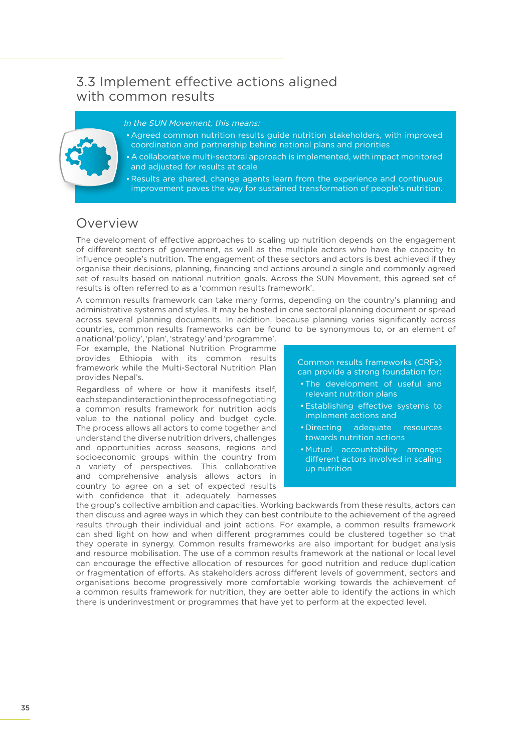# 3.3 Implement effective actions aligned with common results



#### In the SUN Movement, this means:

- Agreed common nutrition results guide nutrition stakeholders, with improved coordination and partnership behind national plans and priorities
- A collaborative multi-sectoral approach is implemented, with impact monitored and adjusted for results at scale
- Results are shared, change agents learn from the experience and continuous •improvement paves the way for sustained transformation of people's nutrition.

### Overview

The development of effective approaches to scaling up nutrition depends on the engagement of different sectors of government, as well as the multiple actors who have the capacity to influence people's nutrition. The engagement of these sectors and actors is best achieved if they organise their decisions, planning, financing and actions around a single and commonly agreed set of results based on national nutrition goals. Across the SUN Movement, this agreed set of results is often referred to as a 'common results framework'.

A common results framework can take many forms, depending on the country's planning and administrative systems and styles. It may be hosted in one sectoral planning document or spread across several planning documents. In addition, because planning varies significantly across countries, common results frameworks can be found to be synonymous to, or an element of a national 'policy', 'plan', 'strategy' and 'programme'.

For example, the National Nutrition Programme provides Ethiopia with its common results framework while the Multi-Sectoral Nutrition Plan provides Nepal's.

Regardless of where or how it manifests itself, each step and interaction in the process of negotiating a common results framework for nutrition adds value to the national policy and budget cycle. The process allows all actors to come together and understand the diverse nutrition drivers, challenges and opportunities across seasons, regions and socioeconomic groups within the country from a variety of perspectives. This collaborative and comprehensive analysis allows actors in country to agree on a set of expected results with confidence that it adequately harnesses

Common results frameworks (CRFs) can provide a strong foundation for:

- The development of useful and relevant nutrition plans
- Establishing effective systems to implement actions and
- Directing adequate resources towards nutrition actions
- Mutual accountability amongst different actors involved in scaling up nutrition

the group's collective ambition and capacities. Working backwards from these results, actors can then discuss and agree ways in which they can best contribute to the achievement of the agreed results through their individual and joint actions. For example, a common results framework can shed light on how and when different programmes could be clustered together so that they operate in synergy. Common results frameworks are also important for budget analysis and resource mobilisation. The use of a common results framework at the national or local level can encourage the effective allocation of resources for good nutrition and reduce duplication or fragmentation of efforts. As stakeholders across different levels of government, sectors and organisations become progressively more comfortable working towards the achievement of a common results framework for nutrition, they are better able to identify the actions in which there is underinvestment or programmes that have yet to perform at the expected level.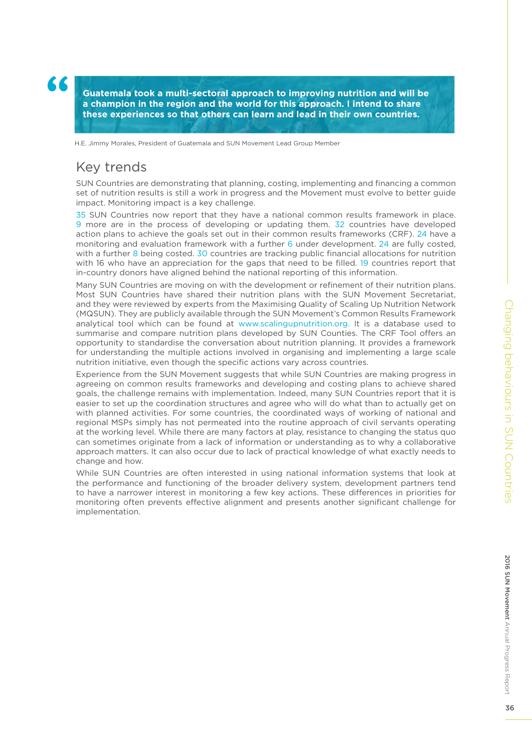**Guatemala took a multi-sectoral approach to improving nutrition and will be a champion in the region and the world for this approach. I intend to share these experiences so that others can learn and lead in their own countries.**

H.E. Jimmy Morales, President of Guatemala and SUN Movement Lead Group Member

# Key trends

SUN Countries are demonstrating that planning, costing, implementing and financing a common set of nutrition results is still a work in progress and the Movement must evolve to better guide impact. Monitoring impact is a key challenge.

35 SUN Countries now report that they have a national common results framework in place. 9 more are in the process of developing or updating them. 32 countries have developed action plans to achieve the goals set out in their common results frameworks (CRF). 24 have a monitoring and evaluation framework with a further 6 under development. 24 are fully costed, with a further 8 being costed. 30 countries are tracking public financial allocations for nutrition with 16 who have an appreciation for the gaps that need to be filled. 19 countries report that in-country donors have aligned behind the national reporting of this information.

Many SUN Countries are moving on with the development or refinement of their nutrition plans. Most SUN Countries have shared their nutrition plans with the SUN Movement Secretariat, and they were reviewed by experts from the Maximising Quality of Scaling Up Nutrition Network (MQSUN). They are publicly available through the SUN Movement's Common Results Framework analytical tool which can be found at www.scalingupnutrition.org. It is a database used to summarise and compare nutrition plans developed by SUN Counties. The CRF Tool offers an opportunity to standardise the conversation about nutrition planning. It provides a framework for understanding the multiple actions involved in organising and implementing a large scale nutrition initiative, even though the specific actions vary across countries.

Experience from the SUN Movement suggests that while SUN Countries are making progress in agreeing on common results frameworks and developing and costing plans to achieve shared goals, the challenge remains with implementation. Indeed, many SUN Countries report that it is easier to set up the coordination structures and agree who will do what than to actually get on with planned activities. For some countries, the coordinated ways of working of national and regional MSPs simply has not permeated into the routine approach of civil servants operating at the working level. While there are many factors at play, resistance to changing the status quo can sometimes originate from a lack of information or understanding as to why a collaborative approach matters. It can also occur due to lack of practical knowledge of what exactly needs to change and how.

While SUN Countries are often interested in using national information systems that look at the performance and functioning of the broader delivery system, development partners tend to have a narrower interest in monitoring a few key actions. These differences in priorities for monitoring often prevents effective alignment and presents another significant challenge for implementation.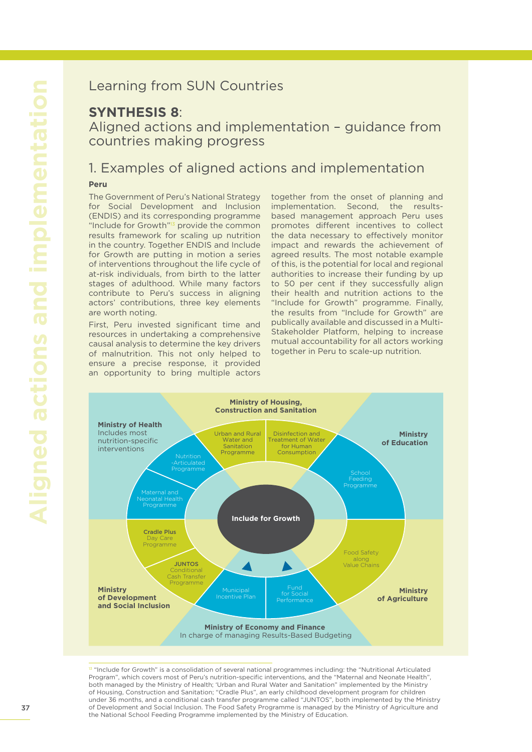# Learning from SUN Countries

### **SYNTHESIS 8**:

Aligned actions and implementation – guidance from countries making progress

### 1. Examples of aligned actions and implementation

#### **Peru**

The Government of Peru's National Strategy for Social Development and Inclusion (ENDIS) and its corresponding programme "Include for Growth"<sup>13</sup> provide the common results framework for scaling up nutrition in the country. Together ENDIS and Include for Growth are putting in motion a series of interventions throughout the life cycle of at-risk individuals, from birth to the latter stages of adulthood. While many factors contribute to Peru's success in aligning actors' contributions, three key elements are worth noting.

First, Peru invested significant time and resources in undertaking a comprehensive causal analysis to determine the key drivers of malnutrition. This not only helped to ensure a precise response, it provided an opportunity to bring multiple actors

together from the onset of planning and implementation. Second, the resultsbased management approach Peru uses promotes different incentives to collect the data necessary to effectively monitor impact and rewards the achievement of agreed results. The most notable example of this, is the potential for local and regional authorities to increase their funding by up to 50 per cent if they successfully align their health and nutrition actions to the "Include for Growth" programme. Finally, the results from "Include for Growth" are publically available and discussed in a Multi-Stakeholder Platform, helping to increase mutual accountability for all actors working together in Peru to scale-up nutrition.



<sup>13</sup> "Include for Growth" is a consolidation of several national programmes including: the "Nutritional Articulated Program", which covers most of Peru's nutrition-specific interventions, and the "Maternal and Neonate Health", both managed by the Ministry of Health; 'Urban and Rural Water and Sanitation" implemented by the Ministry of Housing, Construction and Sanitation; "Cradle Plus", an early childhood development program for children under 36 months, and a conditional cash transfer programme called "JUNTOS", both implemented by the Ministry of Development and Social Inclusion. The Food Safety Programme is managed by the Ministry of Agriculture and the National School Feeding Programme implemented by the Ministry of Education.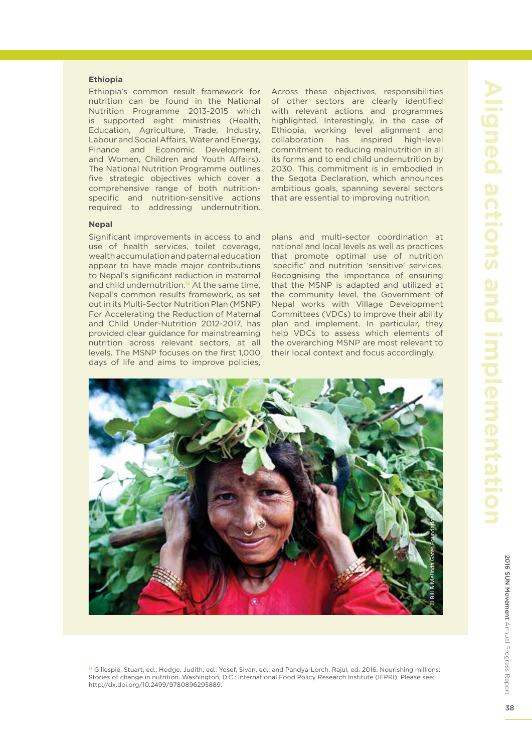#### **Ethiopia**

Ethiopia's common result framework for nutrition can be found in the National Nutrition Programme 2013-2015 which is supported eight ministries (Health, Education, Agriculture, Trade, Industry, Labour and Social Affairs, Water and Energy, Finance and Economic Development, and Women, Children and Youth Affairs). The National Nutrition Programme outlines five strategic objectives which cover a comprehensive range of both nutritionspecific and nutrition-sensitive actions required to addressing undernutrition.

Across these objectives, responsibilities of other sectors are clearly identified with relevant actions and programmes highlighted. Interestingly, in the case of Ethiopia, working level alignment and collaboration has inspired high-level commitment to reducing malnutrition in all its forms and to end child undernutrition by 2030. This commitment is in embodied in the Seqota Declaration, which announces ambitious goals, spanning several sectors that are essential to improving nutrition.

#### **Nepal**

Significant improvements in access to and use of health services, toilet coverage, wealth accumulation and paternal education appear to have made major contributions to Nepal's significant reduction in maternal and child undernutrition.<sup>14</sup> At the same time, Nepal's common results framework, as set out in its Multi-Sector Nutrition Plan (MSNP) For Accelerating the Reduction of Maternal and Child Under-Nutrition 2012-2017, has provided clear guidance for mainstreaming nutrition across relevant sectors, at all levels. The MSNP focuses on the first 1,000 days of life and aims to improve policies,

plans and multi-sector coordination at national and local levels as well as practices that promote optimal use of nutrition 'specific' and nutrition 'sensitive' services. Recognising the importance of ensuring that the MSNP is adapted and utilized at the community level, the Government of Nepal works with Village Development Committees (VDCs) to improve their ability plan and implement. In particular, they help VDCs to assess which elements of the overarching MSNP are most relevant to their local context and focus accordingly.



Annual Progress Report

Report

2016 SUN Movement

2016 SUN Movement Annual Progress

<sup>14</sup> Gillespie, Stuart, ed.; Hodge, Judith, ed.; Yosef, Sivan, ed.; and Pandya-Lorch, Rajul, ed. 2016. Nourishing millions: Stories of change in nutrition. Washington, D.C.: International Food Policy Research Institute (IFPRI). Please see: http://dx.doi.org/10.2499/9780896295889.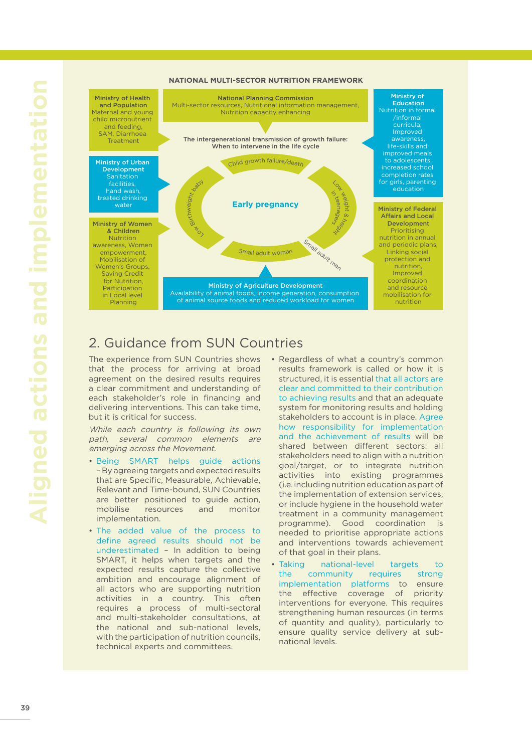

# 2. Guidance from SUN Countries

The experience from SUN Countries shows that the process for arriving at broad agreement on the desired results requires a clear commitment and understanding of each stakeholder's role in financing and delivering interventions. This can take time, but it is critical for success.

While each country is following its own path, several common elements are emerging across the Movement.

- Being SMART helps guide actions – By agreeing targets and expected results that are Specific, Measurable, Achievable, Relevant and Time-bound, SUN Countries are better positioned to guide action, mobilise resources and monitor implementation.
- The added value of the process to define agreed results should not be underestimated – In addition to being SMART, it helps when targets and the expected results capture the collective ambition and encourage alignment of all actors who are supporting nutrition activities in a country. This often requires a process of multi-sectoral and multi-stakeholder consultations, at the national and sub-national levels, with the participation of nutrition councils, technical experts and committees.
- Regardless of what a country's common results framework is called or how it is structured, it is essential that all actors are clear and committed to their contribution to achieving results and that an adequate system for monitoring results and holding stakeholders to account is in place. Agree how responsibility for implementation and the achievement of results will be shared between different sectors: all stakeholders need to align with a nutrition goal/target, or to integrate nutrition activities into existing programmes (i.e. including nutrition education as part of the implementation of extension services, or include hygiene in the household water treatment in a community management programme). Good coordination is needed to prioritise appropriate actions and interventions towards achievement of that goal in their plans.
- Taking national-level targets to the community requires strong implementation platforms to ensure the effective coverage of priority interventions for everyone. This requires strengthening human resources (in terms of quantity and quality), particularly to ensure quality service delivery at subnational levels.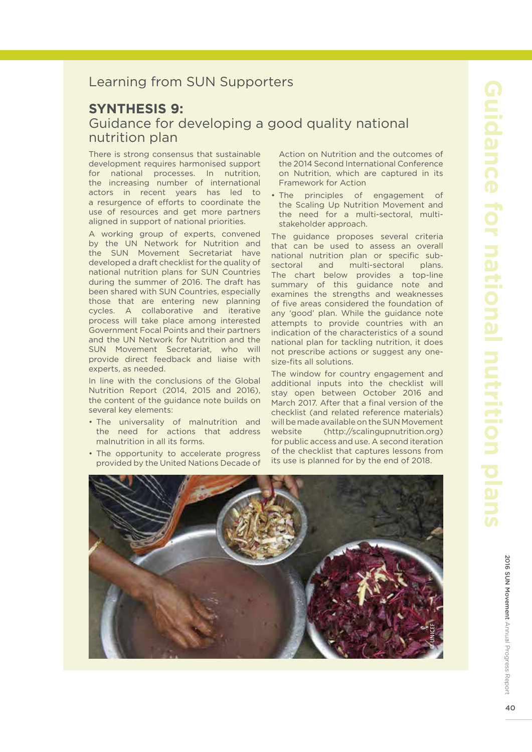# Learning from SUN Supporters

### **SYNTHESIS 9:**

### Guidance for developing a good quality national nutrition plan

There is strong consensus that sustainable development requires harmonised support for national processes. In nutrition, the increasing number of international actors in recent years has led to a resurgence of efforts to coordinate the use of resources and get more partners aligned in support of national priorities.

A working group of experts, convened by the UN Network for Nutrition and the SUN Movement Secretariat have developed a draft checklist for the quality of national nutrition plans for SUN Countries during the summer of 2016. The draft has been shared with SUN Countries, especially those that are entering new planning cycles. A collaborative and iterative process will take place among interested Government Focal Points and their partners and the UN Network for Nutrition and the SUN Movement Secretariat, who will provide direct feedback and liaise with experts, as needed.

In line with the conclusions of the Global Nutrition Report (2014, 2015 and 2016), the content of the guidance note builds on several key elements:

- The universality of malnutrition and the need for actions that address malnutrition in all its forms.
- The opportunity to accelerate progress provided by the United Nations Decade of

Action on Nutrition and the outcomes of the 2014 Second International Conference on Nutrition, which are captured in its Framework for Action

• The principles of engagement of the Scaling Up Nutrition Movement and the need for a multi-sectoral, multistakeholder approach.

The guidance proposes several criteria that can be used to assess an overall national nutrition plan or specific subsectoral and multi-sectoral plans. The chart below provides a top-line summary of this guidance note and examines the strengths and weaknesses of five areas considered the foundation of any 'good' plan. While the guidance note attempts to provide countries with an indication of the characteristics of a sound national plan for tackling nutrition, it does not prescribe actions or suggest any onesize-fits all solutions.

The window for country engagement and additional inputs into the checklist will stay open between October 2016 and March 2017. After that a final version of the checklist (and related reference materials) will be made available on the SUN Movement website (http://scalingupnutrition.org) for public access and use. A second iteration of the checklist that captures lessons from its use is planned for by the end of 2018.



Annual Progress Report

2016 SUN Movement Annual Progress Report

2016 SUN Movement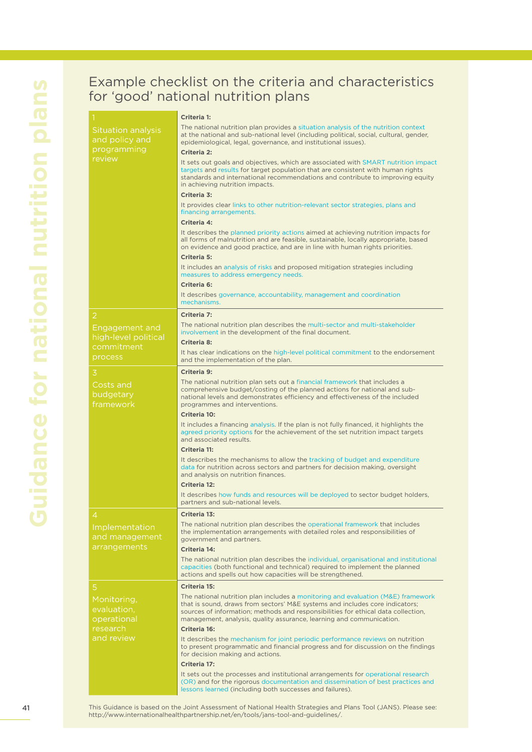# Example checklist on the criteria and characteristics for 'good' national nutrition plans

| <b>Situation analysis</b><br>and policy and<br>programming<br>review   | Criteria 1:<br>The national nutrition plan provides a situation analysis of the nutrition context<br>at the national and sub-national level (including political, social, cultural, gender,<br>epidemiological, legal, governance, and institutional issues).<br>Criteria 2:<br>It sets out goals and objectives, which are associated with SMART nutrition impact<br>targets and results for target population that are consistent with human rights<br>standards and international recommendations and contribute to improving equity<br>in achieving nutrition impacts.<br>Criteria 3:<br>It provides clear links to other nutrition-relevant sector strategies, plans and<br>financing arrangements.<br>Criteria 4:<br>It describes the planned priority actions aimed at achieving nutrition impacts for<br>all forms of malnutrition and are feasible, sustainable, locally appropriate, based<br>on evidence and good practice, and are in line with human rights priorities. |  |  |
|------------------------------------------------------------------------|--------------------------------------------------------------------------------------------------------------------------------------------------------------------------------------------------------------------------------------------------------------------------------------------------------------------------------------------------------------------------------------------------------------------------------------------------------------------------------------------------------------------------------------------------------------------------------------------------------------------------------------------------------------------------------------------------------------------------------------------------------------------------------------------------------------------------------------------------------------------------------------------------------------------------------------------------------------------------------------|--|--|
|                                                                        | Criteria 5:<br>It includes an analysis of risks and proposed mitigation strategies including<br>measures to address emergency needs.<br>Criteria 6:<br>It describes governance, accountability, management and coordination<br>mechanisms.                                                                                                                                                                                                                                                                                                                                                                                                                                                                                                                                                                                                                                                                                                                                           |  |  |
| $\overline{2}$<br>Engagement and<br>high-level political<br>commitment | Criteria 7:<br>The national nutrition plan describes the multi-sector and multi-stakeholder<br>involvement in the development of the final document.<br><b>Criteria 8:</b>                                                                                                                                                                                                                                                                                                                                                                                                                                                                                                                                                                                                                                                                                                                                                                                                           |  |  |
| process                                                                | It has clear indications on the high-level political commitment to the endorsement<br>and the implementation of the plan.                                                                                                                                                                                                                                                                                                                                                                                                                                                                                                                                                                                                                                                                                                                                                                                                                                                            |  |  |
| 3                                                                      | Criteria 9:                                                                                                                                                                                                                                                                                                                                                                                                                                                                                                                                                                                                                                                                                                                                                                                                                                                                                                                                                                          |  |  |
| Costs and<br>budgetary<br>framework                                    | The national nutrition plan sets out a financial framework that includes a<br>comprehensive budget/costing of the planned actions for national and sub-<br>national levels and demonstrates efficiency and effectiveness of the included<br>programmes and interventions.<br>Criteria 10:                                                                                                                                                                                                                                                                                                                                                                                                                                                                                                                                                                                                                                                                                            |  |  |
|                                                                        | It includes a financing analysis. If the plan is not fully financed, it highlights the<br>agreed priority options for the achievement of the set nutrition impact targets<br>and associated results.                                                                                                                                                                                                                                                                                                                                                                                                                                                                                                                                                                                                                                                                                                                                                                                 |  |  |
|                                                                        | Criteria 11:<br>It describes the mechanisms to allow the tracking of budget and expenditure<br>data for nutrition across sectors and partners for decision making, oversight<br>and analysis on nutrition finances.<br>Criteria 12:                                                                                                                                                                                                                                                                                                                                                                                                                                                                                                                                                                                                                                                                                                                                                  |  |  |
|                                                                        | It describes how funds and resources will be deployed to sector budget holders,<br>partners and sub-national levels.                                                                                                                                                                                                                                                                                                                                                                                                                                                                                                                                                                                                                                                                                                                                                                                                                                                                 |  |  |
| 4                                                                      | Criteria 13:                                                                                                                                                                                                                                                                                                                                                                                                                                                                                                                                                                                                                                                                                                                                                                                                                                                                                                                                                                         |  |  |
| Implementation<br>and management<br>arrangements                       | The national nutrition plan describes the operational framework that includes<br>the implementation arrangements with detailed roles and responsibilities of<br>government and partners.                                                                                                                                                                                                                                                                                                                                                                                                                                                                                                                                                                                                                                                                                                                                                                                             |  |  |
|                                                                        | Criteria 14:<br>The national nutrition plan describes the individual, organisational and institutional<br>capacities (both functional and technical) required to implement the planned<br>actions and spells out how capacities will be strengthened.                                                                                                                                                                                                                                                                                                                                                                                                                                                                                                                                                                                                                                                                                                                                |  |  |
| 5                                                                      | Criteria 15:                                                                                                                                                                                                                                                                                                                                                                                                                                                                                                                                                                                                                                                                                                                                                                                                                                                                                                                                                                         |  |  |
| Monitoring,<br>evaluation,<br>operational<br>research                  | The national nutrition plan includes a monitoring and evaluation (M&E) framework<br>that is sound, draws from sectors' M&E systems and includes core indicators;<br>sources of information; methods and responsibilities for ethical data collection,<br>management, analysis, quality assurance, learning and communication.<br><b>Criteria 16:</b>                                                                                                                                                                                                                                                                                                                                                                                                                                                                                                                                                                                                                                 |  |  |
| and review                                                             | It describes the mechanism for joint periodic performance reviews on nutrition<br>to present programmatic and financial progress and for discussion on the findings<br>for decision making and actions.                                                                                                                                                                                                                                                                                                                                                                                                                                                                                                                                                                                                                                                                                                                                                                              |  |  |
|                                                                        | Criteria 17:                                                                                                                                                                                                                                                                                                                                                                                                                                                                                                                                                                                                                                                                                                                                                                                                                                                                                                                                                                         |  |  |
|                                                                        | It sets out the processes and institutional arrangements for operational research<br>(OR) and for the rigorous documentation and dissemination of best practices and<br>lessons learned (including both successes and failures).                                                                                                                                                                                                                                                                                                                                                                                                                                                                                                                                                                                                                                                                                                                                                     |  |  |
|                                                                        |                                                                                                                                                                                                                                                                                                                                                                                                                                                                                                                                                                                                                                                                                                                                                                                                                                                                                                                                                                                      |  |  |

This Guidance is based on the Joint Assessment of National Health Strategies and Plans Tool (JANS). Please see: http://www.internationalhealthpartnership.net/en/tools/jans-tool-and-guidelines/.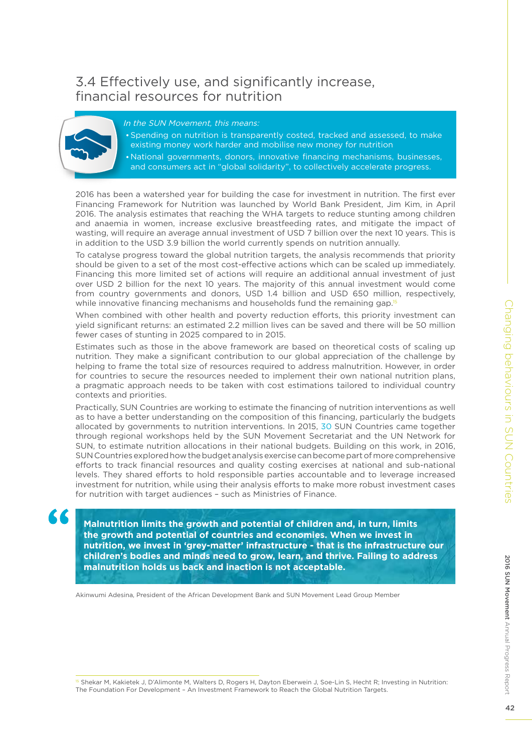# 3.4 Effectively use, and significantly increase, financial resources for nutrition



#### In the SUN Movement, this means:

• Spending on nutrition is transparently costed, tracked and assessed, to make • existing money work harder and mobilise new money for nutrition

• National governments, donors, innovative financing mechanisms, businesses, • and consumers act in "global solidarity", to collectively accelerate progress.

2016 has been a watershed year for building the case for investment in nutrition. The first ever Financing Framework for Nutrition was launched by World Bank President, Jim Kim, in April 2016. The analysis estimates that reaching the WHA targets to reduce stunting among children and anaemia in women, increase exclusive breastfeeding rates, and mitigate the impact of wasting, will require an average annual investment of USD 7 billion over the next 10 years. This is in addition to the USD 3.9 billion the world currently spends on nutrition annually.

To catalyse progress toward the global nutrition targets, the analysis recommends that priority should be given to a set of the most cost-effective actions which can be scaled up immediately. Financing this more limited set of actions will require an additional annual investment of just over USD 2 billion for the next 10 years. The majority of this annual investment would come from country governments and donors, USD 1.4 billion and USD 650 million, respectively, while innovative financing mechanisms and households fund the remaining gap.<sup>1</sup>

When combined with other health and poverty reduction efforts, this priority investment can yield significant returns: an estimated 2.2 million lives can be saved and there will be 50 million fewer cases of stunting in 2025 compared to in 2015.

Estimates such as those in the above framework are based on theoretical costs of scaling up nutrition. They make a significant contribution to our global appreciation of the challenge by helping to frame the total size of resources required to address malnutrition. However, in order for countries to secure the resources needed to implement their own national nutrition plans, a pragmatic approach needs to be taken with cost estimations tailored to individual country contexts and priorities.

Practically, SUN Countries are working to estimate the financing of nutrition interventions as well as to have a better understanding on the composition of this financing, particularly the budgets allocated by governments to nutrition interventions. In 2015, 30 SUN Countries came together through regional workshops held by the SUN Movement Secretariat and the UN Network for SUN, to estimate nutrition allocations in their national budgets. Building on this work, in 2016, SUN Countries explored how the budget analysis exercise can become part of more comprehensive efforts to track financial resources and quality costing exercises at national and sub-national levels. They shared efforts to hold responsible parties accountable and to leverage increased investment for nutrition, while using their analysis efforts to make more robust investment cases for nutrition with target audiences – such as Ministries of Finance.

**Malnutrition limits the growth and potential of children and, in turn, limits the growth and potential of countries and economies. When we invest in nutrition, we invest in 'grey-matter' infrastructure - that is the infrastructure our children's bodies and minds need to grow, learn, and thrive. Failing to address malnutrition holds us back and inaction is not acceptable.**

Akinwumi Adesina, President of the African Development Bank and SUN Movement Lead Group Member

<sup>15</sup> Shekar M, Kakietek J, D'Alimonte M, Walters D, Rogers H, Dayton Eberwein J, Soe-Lin S, Hecht R; Investing in Nutrition: The Foundation For Development – An Investment Framework to Reach the Global Nutrition Targets.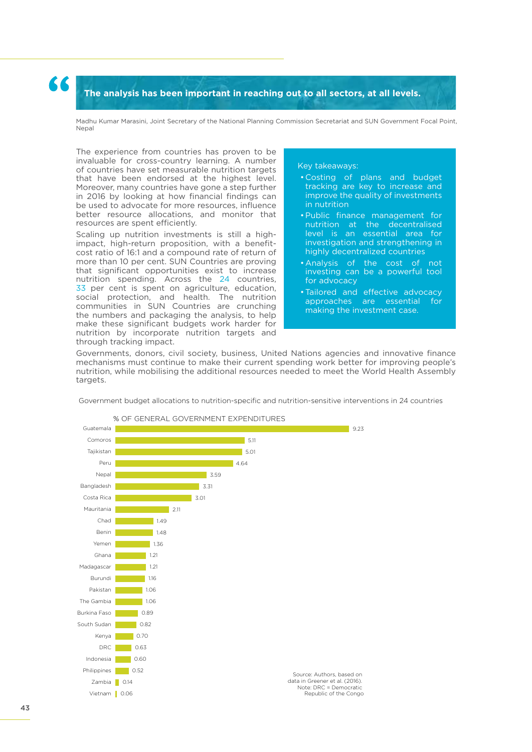### **The analysis has been important in reaching out to all sectors, at all levels.**

Madhu Kumar Marasini, Joint Secretary of the National Planning Commission Secretariat and SUN Government Focal Point, Nepal

The experience from countries has proven to be invaluable for cross-country learning. A number of countries have set measurable nutrition targets that have been endorsed at the highest level. Moreover, many countries have gone a step further in 2016 by looking at how financial findings can be used to advocate for more resources, influence better resource allocations, and monitor that resources are spent efficiently.

Scaling up nutrition investments is still a highimpact, high-return proposition, with a benefitcost ratio of 16:1 and a compound rate of return of more than 10 per cent. SUN Countries are proving that significant opportunities exist to increase nutrition spending. Across the 24 countries, 33 per cent is spent on agriculture, education, social protection, and health. The nutrition communities in SUN Countries are crunching the numbers and packaging the analysis, to help make these significant budgets work harder for nutrition by incorporate nutrition targets and through tracking impact.

#### Key takeaways:

- Costing of plans and budget tracking are key to increase and improve the quality of investments in nutrition
- Public finance management for nutrition at the decentralised level is an essential area for investigation and strengthening in highly decentralized countries
- Analysis of the cost of not investing can be a powerful tool for advocacy
- Tailored and effective advocacy approaches are essential for making the investment case.

Governments, donors, civil society, business, United Nations agencies and innovative finance mechanisms must continue to make their current spending work better for improving people's nutrition, while mobilising the additional resources needed to meet the World Health Assembly targets.

Government budget allocations to nutrition-specific and nutrition-sensitive interventions in 24 countries



% OF GENERAL GOVERNMENT EXPENDITURES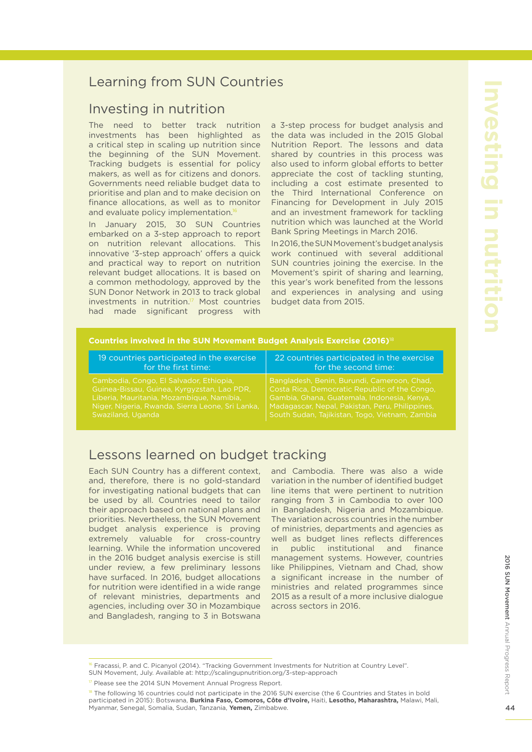# Learning from SUN Countries

# Investing in nutrition

The need to better track nutrition investments has been highlighted as a critical step in scaling up nutrition since the beginning of the SUN Movement. Tracking budgets is essential for policy makers, as well as for citizens and donors. Governments need reliable budget data to prioritise and plan and to make decision on finance allocations, as well as to monitor and evaluate policy implementation.<sup>16</sup>

In January 2015, 30 SUN Countries embarked on a 3-step approach to report on nutrition relevant allocations. This innovative '3-step approach' offers a quick and practical way to report on nutrition relevant budget allocations. It is based on a common methodology, approved by the SUN Donor Network in 2013 to track global investments in nutrition.17 Most countries had made significant progress with

a 3-step process for budget analysis and the data was included in the 2015 Global Nutrition Report. The lessons and data shared by countries in this process was also used to inform global efforts to better appreciate the cost of tackling stunting, including a cost estimate presented to the Third International Conference on Financing for Development in July 2015 and an investment framework for tackling nutrition which was launched at the World Bank Spring Meetings in March 2016.

In 2016, the SUN Movement's budget analysis work continued with several additional SUN countries joining the exercise. In the Movement's spirit of sharing and learning, this year's work benefited from the lessons and experiences in analysing and using budget data from 2015.

#### **Countries involved in the SUN Movement Budget Analysis Exercise (2016)**<sup>18</sup>

| 19 countries participated in the exercise        | 22 countries participated in the exercise       |
|--------------------------------------------------|-------------------------------------------------|
| for the first time:                              | for the second time:                            |
| Cambodia, Congo, El Salvador, Ethiopia,          | Bangladesh, Benin, Burundi, Cameroon, Chad,     |
| Guinea-Bissau, Guinea, Kyrgyzstan, Lao PDR,      | Costa Rica, Democratic Republic of the Congo,   |
| Liberia, Mauritania, Mozambique, Namibia,        | Gambia, Ghana, Guatemala, Indonesia, Kenya,     |
| Niger, Nigeria, Rwanda, Sierra Leone, Sri Lanka, | Madagascar, Nepal, Pakistan, Peru, Philippines, |
| Swaziland, Uganda                                | South Sudan, Tajikistan, Togo, Vietnam, Zambia  |

# Lessons learned on budget tracking

Each SUN Country has a different context, and, therefore, there is no gold-standard for investigating national budgets that can be used by all. Countries need to tailor their approach based on national plans and priorities. Nevertheless, the SUN Movement budget analysis experience is proving extremely valuable for cross-country learning. While the information uncovered in the 2016 budget analysis exercise is still under review, a few preliminary lessons have surfaced. In 2016, budget allocations for nutrition were identified in a wide range of relevant ministries, departments and agencies, including over 30 in Mozambique and Bangladesh, ranging to 3 in Botswana

and Cambodia. There was also a wide variation in the number of identified budget line items that were pertinent to nutrition ranging from 3 in Cambodia to over 100 in Bangladesh, Nigeria and Mozambique. The variation across countries in the number of ministries, departments and agencies as well as budget lines reflects differences in public institutional and finance management systems. However, countries like Philippines, Vietnam and Chad, show a significant increase in the number of ministries and related programmes since 2015 as a result of a more inclusive dialogue across sectors in 2016.

<sup>16</sup> Fracassi, P. and C. Picanyol (2014). "Tracking Government Investments for Nutrition at Country Level". SUN Movement, July. Available at: http://scalingupnutrition.org/3-step-approach

18 The following 16 countries could not participate in the 2016 SUN exercise (the 6 Countries and States in bold participated in 2015): Botswana, **Burkina Faso, Comoros, Côte d'Ivoire,** Haiti, **Lesotho, Maharashtra,** Malawi, Mali, Myanmar, Senegal, Somalia, Sudan, Tanzania, **Yemen,** Zimbabwe.

<sup>&</sup>lt;sup>17</sup> Please see the 2014 SUN Movement Annual Progress Report.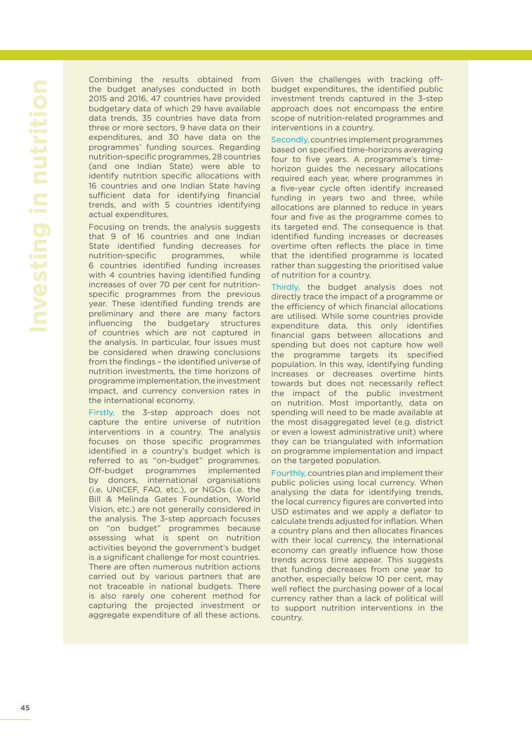Combining the results obtained from the budget analyses conducted in both 2015 and 2016, 47 countries have provided budgetary data of which 29 have available data trends, 35 countries have data from three or more sectors, 9 have data on their expenditures, and 30 have data on the programmes' funding sources. Regarding nutrition-specific programmes, 28 countries (and one Indian State) were able to identify nutrition specific allocations with 16 countries and one Indian State having sufficient data for identifying financial trends, and with 5 countries identifying actual expenditures.

Focusing on trends, the analysis suggests that 9 of 16 countries and one Indian State identified funding decreases for nutrition-specific programmes, while 6 countries identified funding increases with 4 countries having identified funding increases of over 70 per cent for nutritionspecific programmes from the previous year. These identified funding trends are preliminary and there are many factors influencing the budgetary structures of countries which are not captured in the analysis. In particular, four issues must be considered when drawing conclusions from the findings – the identified universe of nutrition investments, the time horizons of programme implementation, the investment impact, and currency conversion rates in the international economy.

Firstly, the 3-step approach does not capture the entire universe of nutrition interventions in a country. The analysis focuses on those specific programmes identified in a country's budget which is referred to as "on-budget" programmes. Off-budget programmes implemented by donors, international organisations (i.e. UNICEF, FAO, etc.), or NGOs (i.e. the Bill & Melinda Gates Foundation, World Vision, etc.) are not generally considered in the analysis. The 3-step approach focuses on "on budget" programmes because assessing what is spent on nutrition activities beyond the government's budget is a significant challenge for most countries. There are often numerous nutrition actions carried out by various partners that are not traceable in national budgets. There is also rarely one coherent method for capturing the projected investment or aggregate expenditure of all these actions.

Given the challenges with tracking offbudget expenditures, the identified public investment trends captured in the 3-step approach does not encompass the entire scope of nutrition-related programmes and interventions in a country.

Secondly, countries implement programmes based on specified time-horizons averaging four to five years. A programme's timehorizon guides the necessary allocations required each year, where programmes in a five-year cycle often identify increased funding in years two and three, while allocations are planned to reduce in years four and five as the programme comes to its targeted end. The consequence is that identified funding increases or decreases overtime often reflects the place in time that the identified programme is located rather than suggesting the prioritised value of nutrition for a country.

Thirdly, the budget analysis does not directly trace the impact of a programme or the efficiency of which financial allocations are utilised. While some countries provide expenditure data, this only identifies financial gaps between allocations and spending but does not capture how well the programme targets its specified population. In this way, identifying funding increases or decreases overtime hints towards but does not necessarily reflect the impact of the public investment on nutrition. Most importantly, data on spending will need to be made available at the most disaggregated level (e.g. district or even a lowest administrative unit) where they can be triangulated with information on programme implementation and impact on the targeted population.

Fourthly, countries plan and implement their public policies using local currency. When analysing the data for identifying trends, the local currency figures are converted into USD estimates and we apply a deflator to calculate trends adjusted for inflation. When a country plans and then allocates finances with their local currency, the international economy can greatly influence how those trends across time appear. This suggests that funding decreases from one year to another, especially below 10 per cent, may well reflect the purchasing power of a local currency rather than a lack of political will to support nutrition interventions in the country.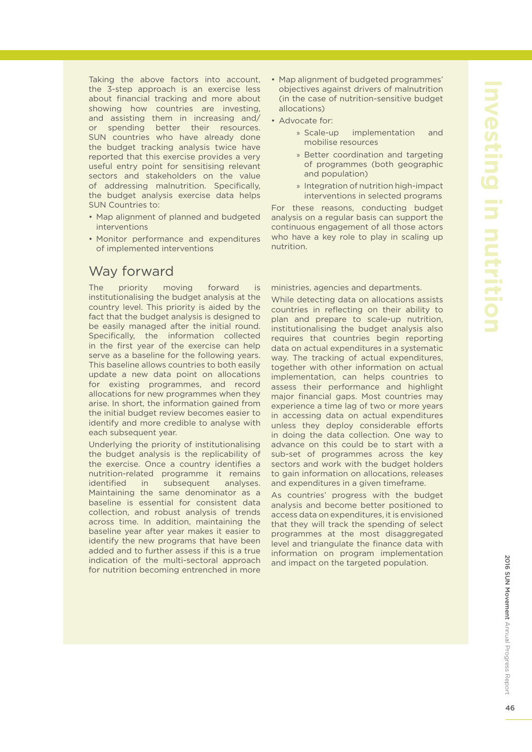Taking the above factors into account, the 3-step approach is an exercise less about financial tracking and more about showing how countries are investing, and assisting them in increasing and/ or spending better their resources. SUN countries who have already done the budget tracking analysis twice have reported that this exercise provides a very useful entry point for sensitising relevant sectors and stakeholders on the value of addressing malnutrition. Specifically, the budget analysis exercise data helps SUN Countries to:

- Map alignment of planned and budgeted interventions
- Monitor performance and expenditures of implemented interventions

# Way forward

The priority moving forward is institutionalising the budget analysis at the country level. This priority is aided by the fact that the budget analysis is designed to be easily managed after the initial round. Specifically, the information collected in the first year of the exercise can help serve as a baseline for the following years. This baseline allows countries to both easily update a new data point on allocations for existing programmes, and record allocations for new programmes when they arise. In short, the information gained from the initial budget review becomes easier to identify and more credible to analyse with each subsequent year.

Underlying the priority of institutionalising the budget analysis is the replicability of the exercise. Once a country identifies a nutrition-related programme it remains identified in subsequent analyses. Maintaining the same denominator as a baseline is essential for consistent data collection, and robust analysis of trends across time. In addition, maintaining the baseline year after year makes it easier to identify the new programs that have been added and to further assess if this is a true indication of the multi-sectoral approach for nutrition becoming entrenched in more

- Map alignment of budgeted programmes' objectives against drivers of malnutrition (in the case of nutrition-sensitive budget allocations)
- Advocate for:
	- » Scale-up implementation and mobilise resources
	- » Better coordination and targeting of programmes (both geographic and population)
	- » Integration of nutrition high-impact interventions in selected programs

For these reasons, conducting budget analysis on a regular basis can support the continuous engagement of all those actors who have a key role to play in scaling up nutrition.

ministries, agencies and departments.

While detecting data on allocations assists countries in reflecting on their ability to plan and prepare to scale-up nutrition, institutionalising the budget analysis also requires that countries begin reporting data on actual expenditures in a systematic way. The tracking of actual expenditures, together with other information on actual implementation, can helps countries to assess their performance and highlight major financial gaps. Most countries may experience a time lag of two or more years in accessing data on actual expenditures unless they deploy considerable efforts in doing the data collection. One way to advance on this could be to start with a sub-set of programmes across the key sectors and work with the budget holders to gain information on allocations, releases and expenditures in a given timeframe.

As countries' progress with the budget analysis and become better positioned to access data on expenditures, it is envisioned that they will track the spending of select programmes at the most disaggregated level and triangulate the finance data with information on program implementation and impact on the targeted population.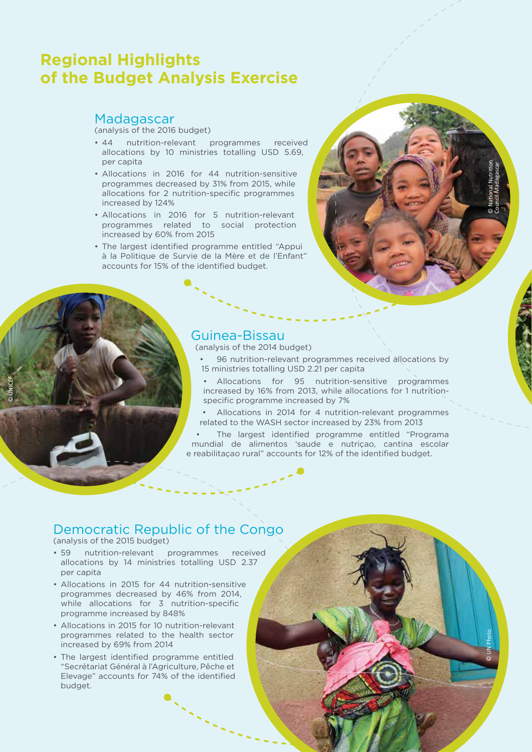# **Regional Highlights of the Budget Analysis Exercise**

### Madagascar

(analysis of the 2016 budget)

- 44 nutrition-relevant programmes received allocations by 10 ministries totalling USD 5.69, per capita
- Allocations in 2016 for 44 nutrition-sensitive programmes decreased by 31% from 2015, while allocations for 2 nutrition-specific programmes increased by 124%
- Allocations in 2016 for 5 nutrition-relevant programmes related to social protection increased by 60% from 2015
- The largest identified programme entitled "Appui à la Politique de Survie de la Mère et de l'Enfant" accounts for 15% of the identified budget.

### Guinea-Bissau

(analysis of the 2014 budget)

96 nutrition-relevant programmes received allocations by 15 ministries totalling USD 2.21 per capita

© National Nutrition Council Madagascar

© UN Photo

- Allocations for 95 nutrition-sensitive programmes increased by 16% from 2013, while allocations for 1 nutritionspecific programme increased by 7%
- Allocations in 2014 for 4 nutrition-relevant programmes related to the WASH sector increased by 23% from 2013
- The largest identified programme entitled "Programa mundial de alimentos 'saude e nutriçao, cantina escolar e reabilitaçao rural" accounts for 12% of the identified budget.

# Democratic Republic of the Congo

(analysis of the 2015 budget)

© UNICEF

- 59 nutrition-relevant programmes received allocations by 14 ministries totalling USD 2.37 per capita
- Allocations in 2015 for 44 nutrition-sensitive programmes decreased by 46% from 2014, while allocations for 3 nutrition-specific programme increased by 848%
- Allocations in 2015 for 10 nutrition-relevant programmes related to the health sector increased by 69% from 2014
- The largest identified programme entitled "Secrétariat Général à l'Agriculture, Pêche et Elevage" accounts for 74% of the identified budget.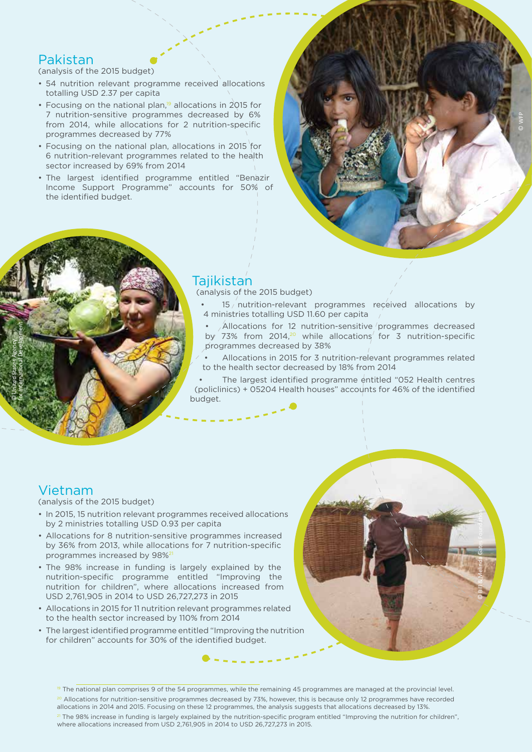### Pakistan

(analysis of the 2015 budget)

- 54 nutrition relevant programme received allocations totalling USD 2.37 per capita
- Focusing on the national plan.<sup>19</sup> allocations in 2015 for 7 nutrition-sensitive programmes decreased by 6% from 2014, while allocations for 2 nutrition-specific programmes decreased by 77%
- Focusing on the national plan, allocations in 2015 for 6 nutrition-relevant programmes related to the health sector increased by 69% from 2014
- The largest identified programme entitled "Benazir Income Support Programme" accounts for 50% of the identified budget.



#### (analysis of the 2015 budget)

15 / nutrition-relevant programmes received allocations by 4 ministries totalling USD 11.60 per capita

© WFP

© Bill & Melinda Gates Foundation

- $\sqrt{\frac{1}{2}}$  Allocations for 12 nutrition-sensitive programmes decreased by 73% from 2014,<sup>20</sup> while allocations for 3 nutrition-specific programmes decreased by 38%
- Allocations in 2015 for 3 nutrition-relevant programmes related to the health sector decreased by 18% from 2014

• The largest identified programme entitled "052 Health centres (policlinics) + 05204 Health houses" accounts for 46% of the identified budget.

# Vietnam

© United States Agency for International Development

#### (analysis of the 2015 budget)

- In 2015, 15 nutrition relevant programmes received allocations by 2 ministries totalling USD 0.93 per capita
- Allocations for 8 nutrition-sensitive programmes increased by 36% from 2013, while allocations for 7 nutrition-specific programmes increased by 98%<sup>21</sup>
- The 98% increase in funding is largely explained by the nutrition-specific programme entitled "Improving the nutrition for children", where allocations increased from USD 2,761,905 in 2014 to USD 26,727,273 in 2015
- Allocations in 2015 for 11 nutrition relevant programmes related to the health sector increased by 110% from 2014
- The largest identified programme entitled "Improving the nutrition for children" accounts for 30% of the identified budget.

19 The national plan comprises 9 of the 54 programmes, while the remaining 45 programmes are managed at the provincial level. <sup>20</sup> Allocations for nutrition-sensitive programmes decreased by 73%, however, this is because only 12 programmes have recorded

allocations in 2014 and 2015. Focusing on these 12 programmes, the analysis suggests that allocations decreased by 13%.  $^{21}$  The 98% increase in funding is largely explained by the nutrition-specific program entitled "Improving the nutrition for children",

where allocations increased from USD 2,761,905 in 2014 to USD 26,727,273 in 2015.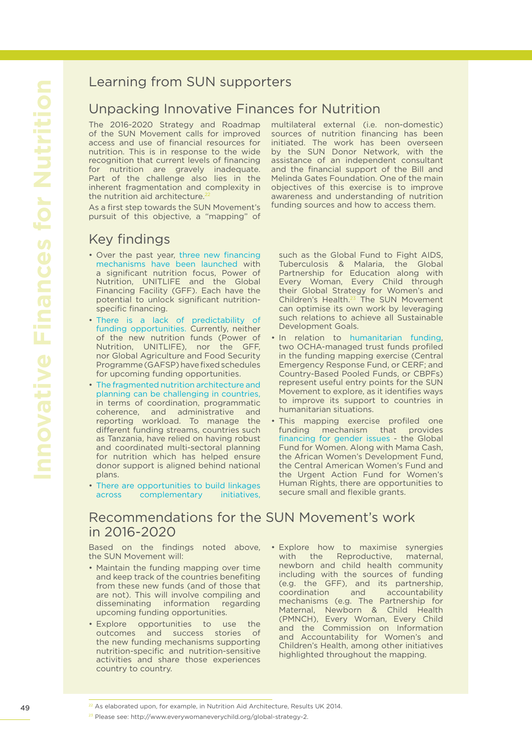# Learning from SUN supporters

### Unpacking Innovative Finances for Nutrition

The 2016-2020 Strategy and Roadmap of the SUN Movement calls for improved access and use of financial resources for nutrition. This is in response to the wide recognition that current levels of financing for nutrition are gravely inadequate. Part of the challenge also lies in the inherent fragmentation and complexity in the nutrition aid architecture.<sup>2</sup>

As a first step towards the SUN Movement's pursuit of this objective, a "mapping" of

multilateral external (i.e. non-domestic) sources of nutrition financing has been initiated. The work has been overseen by the SUN Donor Network, with the assistance of an independent consultant and the financial support of the Bill and Melinda Gates Foundation. One of the main objectives of this exercise is to improve awareness and understanding of nutrition funding sources and how to access them.

# Key findings

- Over the past year, three new financing mechanisms have been launched with a significant nutrition focus, Power of Nutrition, UNITLIFE and the Global Financing Facility (GFF). Each have the potential to unlock significant nutritionspecific financing.
- There is a lack of predictability of funding opportunities. Currently, neither of the new nutrition funds (Power of Nutrition, UNITLIFE), nor the GFF, nor Global Agriculture and Food Security Programme (GAFSP) have fixed schedules for upcoming funding opportunities.
- The fragmented nutrition architecture and planning can be challenging in countries, in terms of coordination, programmatic coherence, and administrative and reporting workload. To manage the different funding streams, countries such as Tanzania, have relied on having robust and coordinated multi-sectoral planning for nutrition which has helped ensure donor support is aligned behind national plans.
- There are opportunities to build linkages across complementary initiatives,

such as the Global Fund to Fight AIDS, Tuberculosis & Malaria, the Global Partnership for Education along with Every Woman, Every Child through their Global Strategy for Women's and Children's Health.23 The SUN Movement can optimise its own work by leveraging such relations to achieve all Sustainable Development Goals.

- In relation to humanitarian funding, two OCHA-managed trust funds profiled in the funding mapping exercise (Central Emergency Response Fund, or CERF; and Country-Based Pooled Funds, or CBPFs) represent useful entry points for the SUN Movement to explore, as it identifies ways to improve its support to countries in humanitarian situations.
- This mapping exercise profiled one funding mechanism that provides financing for gender issues - the Global Fund for Women. Along with Mama Cash, the African Women's Development Fund, the Central American Women's Fund and the Urgent Action Fund for Women's Human Rights, there are opportunities to secure small and flexible grants.

### Recommendations for the SUN Movement's work in 2016-2020

Based on the findings noted above, the SUN Movement will:

- Maintain the funding mapping over time and keep track of the countries benefiting from these new funds (and of those that are not). This will involve compiling and disseminating information regarding upcoming funding opportunities.
- Explore opportunities to use the outcomes and success stories of the new funding mechanisms supporting nutrition-specific and nutrition-sensitive activities and share those experiences country to country.
- Explore how to maximise synergies with the Reproductive, maternal, newborn and child health community including with the sources of funding (e.g. the GFF), and its partnership, coordination and accountability mechanisms (e.g. The Partnership for Maternal, Newborn & Child Health (PMNCH), Every Woman, Every Child and the Commission on Information and Accountability for Women's and Children's Health, among other initiatives highlighted throughout the mapping.

<sup>&</sup>lt;sup>22</sup> As elaborated upon, for example, in Nutrition Aid Architecture, Results UK 2014.

<sup>&</sup>lt;sup>23</sup> Please see: http://www.everywomaneverychild.org/global-strategy-2.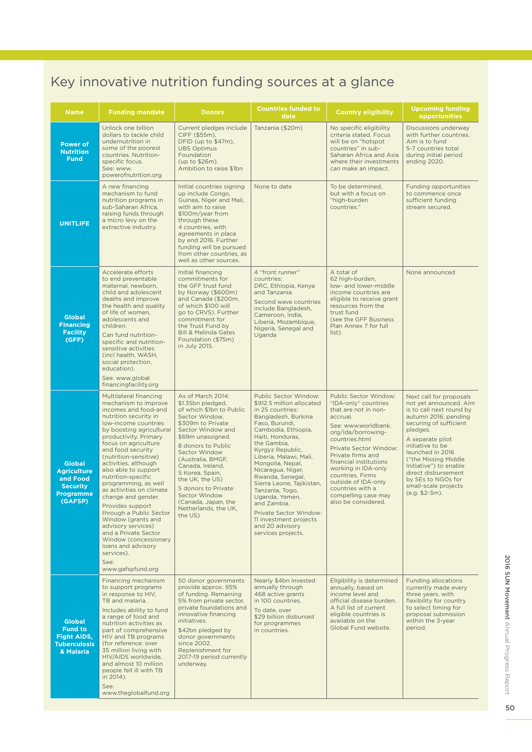# Key innovative nutrition funding sources at a glance

| <b>Name</b>                                                                                | <b>Funding mandate</b>                                                                                                                                                                                                                                                                                                                                                                                                                                                                                                                                                                                          | <b>Donors</b>                                                                                                                                                                                                                                                                                                                                                               | <b>Countries funded to</b><br>date                                                                                                                                                                                                                                                                                                                                                                                                                                 | <b>Country eligibility</b>                                                                                                                                                                                                                                                                                                                                    | <b>Upcoming funding</b><br>opportunities                                                                                                                                                                                                                                                                                                          |
|--------------------------------------------------------------------------------------------|-----------------------------------------------------------------------------------------------------------------------------------------------------------------------------------------------------------------------------------------------------------------------------------------------------------------------------------------------------------------------------------------------------------------------------------------------------------------------------------------------------------------------------------------------------------------------------------------------------------------|-----------------------------------------------------------------------------------------------------------------------------------------------------------------------------------------------------------------------------------------------------------------------------------------------------------------------------------------------------------------------------|--------------------------------------------------------------------------------------------------------------------------------------------------------------------------------------------------------------------------------------------------------------------------------------------------------------------------------------------------------------------------------------------------------------------------------------------------------------------|---------------------------------------------------------------------------------------------------------------------------------------------------------------------------------------------------------------------------------------------------------------------------------------------------------------------------------------------------------------|---------------------------------------------------------------------------------------------------------------------------------------------------------------------------------------------------------------------------------------------------------------------------------------------------------------------------------------------------|
| <b>Power of</b><br><b>Nutrition</b><br><b>Fund</b>                                         | Unlock one billion<br>dollars to tackle child<br>undernutrition in<br>some of the poorest<br>countries. Nutrition-<br>specific focus.<br>See: www.<br>powerofnutrition.org                                                                                                                                                                                                                                                                                                                                                                                                                                      | Current pledges include<br>CIFF (\$55m),<br>DFID (up to \$47m),<br><b>UBS Optimus</b><br>Foundation<br>(up to \$26m).<br>Ambition to raise \$1bn                                                                                                                                                                                                                            | Tanzania (\$20m)                                                                                                                                                                                                                                                                                                                                                                                                                                                   | No specific eligibility<br>criteria stated. Focus<br>will be on "hotspot"<br>countries" in sub-<br>Saharan Africa and Asia<br>where their investments<br>can make an impact.                                                                                                                                                                                  | Discussions underway<br>with further countries.<br>Aim is to fund<br>5-7 countries total<br>during initial period<br>ending 2020.                                                                                                                                                                                                                 |
| <b>UNITLIFE</b>                                                                            | A new financing<br>mechanism to fund<br>nutrition programs in<br>sub-Saharan Africa,<br>raising funds through<br>a micro levy on the<br>extractive industry.                                                                                                                                                                                                                                                                                                                                                                                                                                                    | Initial countries signing<br>up include Congo,<br>Guinea. Niger and Mali.<br>with aim to raise<br>\$100m/year from<br>through these<br>4 countries, with<br>agreements in place<br>by end 2016. Further<br>funding will be pursued<br>from other countries, as<br>well as other sources.                                                                                    | None to date                                                                                                                                                                                                                                                                                                                                                                                                                                                       | To be determined,<br>but with a focus on<br>"high-burden<br>countries."                                                                                                                                                                                                                                                                                       | Funding opportunities<br>to commence once<br>sufficient funding<br>stream secured.                                                                                                                                                                                                                                                                |
| <b>Global</b><br><b>Financing</b><br><b>Facility</b><br>(GFF)                              | Accelerate efforts<br>to end preventable<br>maternal, newborn,<br>child and adolescent<br>deaths and improve<br>the health and quality<br>of life of women,<br>adolescents and<br>children.<br>Can fund nutrition-<br>specific and nutrition-<br>sensitive activities<br>(incl health, WASH,<br>social protection,<br>education).<br>See: www.global<br>financingfacility.org                                                                                                                                                                                                                                   | Initial financing<br>commitments for<br>the GFF trust fund<br>by Norway (\$600m)<br>and Canada (\$200m,<br>of which \$100 will<br>go to CRVS). Further<br>commitment for<br>the Trust Fund by<br><b>Bill &amp; Melinda Gates</b><br>Foundation (\$75m)<br>in July 2015.                                                                                                     | 4 "front runner"<br>countries:<br>DRC, Ethiopia, Kenya<br>and Tanzania.<br>Second wave countries<br>include Bangladesh,<br>Cameroon. India.<br>Liberia, Mozambique,<br>Nigeria, Senegal and<br>Uganda                                                                                                                                                                                                                                                              | A total of<br>62 high-burden.<br>low- and lower-middle<br>income countries are<br>eligible to receive grant<br>resources from the<br>trust fund<br>(see the GFF Business)<br>Plan Annex 7 for full<br>list).                                                                                                                                                  | None announced                                                                                                                                                                                                                                                                                                                                    |
| Global<br><b>Agriculture</b><br>and Food<br><b>Security</b><br><b>Programme</b><br>(GAFSP) | Multilateral financing<br>mechanism to improve<br>incomes and food-and<br>nutrition security in<br>low-income countries<br>by boosting agricultural<br>productivity. Primary<br>focus on agriculture<br>and food security<br>(nutrition-sensitive)<br>activities, although<br>also able to support<br>nutrition-specific<br>programming, as well<br>as activities on climate<br>change and gender.<br>Provides support<br>through a Public Sector<br>Window (grants and<br>advisory services)<br>and a Private Sector<br>Window (concessionary<br>loans and advisory<br>services).<br>See:<br>www.gafspfund.org | As of March 2014:<br>\$1.35bn pledged,<br>of which \$1bn to Public<br>Sector Window,<br>\$309m to Private<br>Sector Window and<br>\$69m unassigned.<br>8 donors to Public<br>Sector Window<br>(Australia, BMGF,<br>Canada, Ireland,<br>S Korea, Spain,<br>the UK, the US)<br>5 donors to Private<br>Sector Window<br>(Canada, Japan, the<br>Netherlands, the UK,<br>the US) | Public Sector Window:<br>\$912.5 million allocated<br>in 25 countries:<br>Bangladesh, Burkina<br>Faso, Burundi,<br>Cambodia, Ethiopia,<br>Haiti, Honduras,<br>the Gambia,<br>Kyrgyz Republic,<br>Liberia, Malawi, Mali,<br>Mongolia, Nepal,<br>Nicaragua, Niger,<br>Rwanda, Senegal,<br>Sierra Leone, Tajikistan,<br>Tanzania, Togo,<br>Uganda, Yemen,<br>and Zambia.<br>Private Sector Window:<br>11 investment projects<br>and 20 advisory<br>services projects. | Public Sector Window:<br>"IDA-only" countries<br>that are not in non-<br>accrual.<br>See: www.worldbank.<br>org/ida/borrowing-<br>countries.html<br>Private Sector Window:<br>Private firms and<br>financial institutions<br>working in IDA-only<br>countries. Firms<br>outside of IDA-only<br>countries with a<br>compelling case may<br>also be considered. | Next call for proposals<br>not yet announced. Aim<br>is to call next round by<br>autumn 2016, pending<br>securing of sufficient<br>pledges.<br>A separate pilot<br>initiative to be<br>launched in 2016<br>("the Missing Middle"<br>Initiative") to enable<br>direct disbursement<br>by SEs to NGOs for<br>small-scale projects<br>(e.g. \$2-3m). |
| <b>Global</b><br><b>Fund to</b><br><b>Fight AIDS,</b><br><b>Tuberculosis</b><br>& Malaria  | Financing mechanism<br>to support programs<br>in response to HIV,<br>TB and malaria.<br>Includes ability to fund<br>a range of food and<br>nutrition activities as<br>part of comprehensive<br>HIV and TB programs<br>(for reference: over<br>35 million living with<br>HIV/AIDS worldwide,<br>and almost 10 million<br>people fell ill with TB<br>in 2014).<br>See:<br>www.theglobalfund.org                                                                                                                                                                                                                   | 50 donor governments<br>provide approx. 95%<br>of funding. Remaining<br>5% from private sector,<br>private foundations and<br>innovative financing<br>initiatives.<br>\$42bn pledged by<br>donor governments<br>since 2002.<br>Replenishment for<br>2017-19 period currently<br>underway.                                                                                   | Nearly \$4bn invested<br>annually through<br>468 active grants<br>in 100 countries.<br>To date, over<br>\$29 billion disbursed<br>for programmes<br>in countries.                                                                                                                                                                                                                                                                                                  | Eligibility is determined<br>annually, based on<br>income level and<br>official disease burden.<br>A full list of current<br>eligible countries is<br>available on the<br>Global Fund website.                                                                                                                                                                | Funding allocations<br>currently made every<br>three years, with<br>flexibility for country<br>to select timing for<br>proposal submission<br>within the 3-year<br>period.                                                                                                                                                                        |